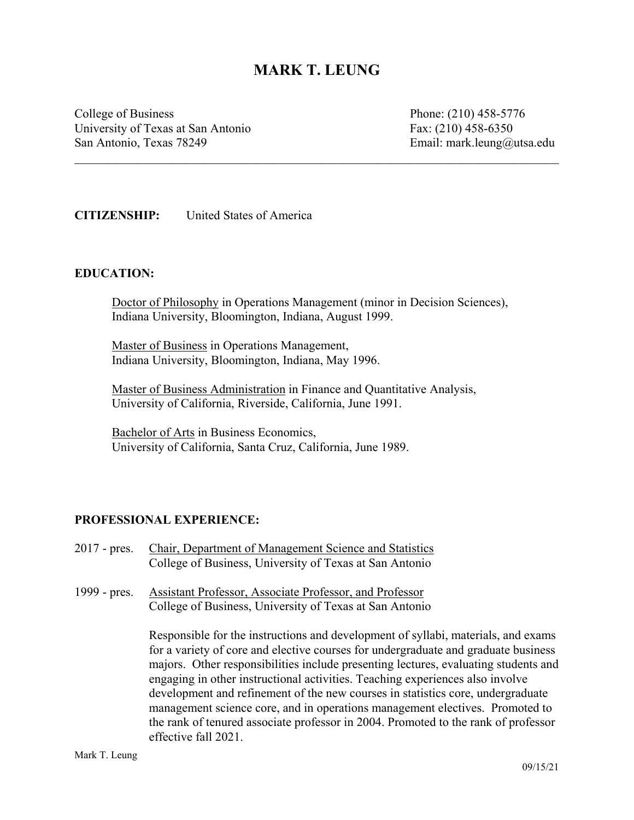# **MARK T. LEUNG**

College of Business Phone: (210) 458-5776 University of Texas at San Antonio Fax: (210) 458-6350 San Antonio, Texas 78249 Email: mark.leung@utsa.edu

**CITIZENSHIP:** United States of America

#### **EDUCATION:**

Doctor of Philosophy in Operations Management (minor in Decision Sciences), Indiana University, Bloomington, Indiana, August 1999.

Master of Business in Operations Management, Indiana University, Bloomington, Indiana, May 1996.

Master of Business Administration in Finance and Quantitative Analysis, University of California, Riverside, California, June 1991.

Bachelor of Arts in Business Economics, University of California, Santa Cruz, California, June 1989.

#### **PROFESSIONAL EXPERIENCE:**

- 2017 pres. Chair, Department of Management Science and Statistics College of Business, University of Texas at San Antonio
- 1999 pres. Assistant Professor, Associate Professor, and Professor College of Business, University of Texas at San Antonio

Responsible for the instructions and development of syllabi, materials, and exams for a variety of core and elective courses for undergraduate and graduate business majors. Other responsibilities include presenting lectures, evaluating students and engaging in other instructional activities. Teaching experiences also involve development and refinement of the new courses in statistics core, undergraduate management science core, and in operations management electives. Promoted to the rank of tenured associate professor in 2004. Promoted to the rank of professor effective fall 2021.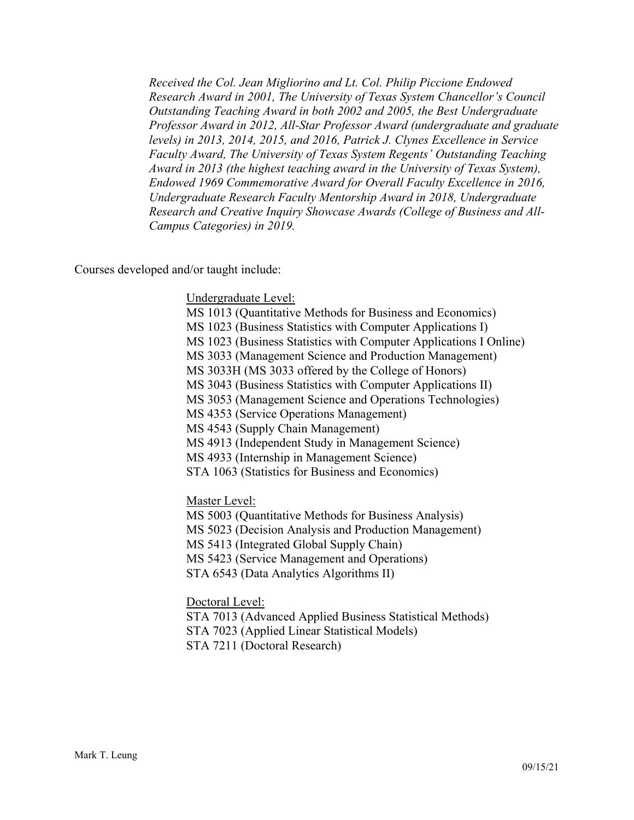*Received the Col. Jean Migliorino and Lt. Col. Philip Piccione Endowed Research Award in 2001, The University of Texas System Chancellor's Council Outstanding Teaching Award in both 2002 and 2005, the Best Undergraduate Professor Award in 2012, All-Star Professor Award (undergraduate and graduate levels) in 2013, 2014, 2015, and 2016, Patrick J. Clynes Excellence in Service Faculty Award, The University of Texas System Regents' Outstanding Teaching Award in 2013 (the highest teaching award in the University of Texas System), Endowed 1969 Commemorative Award for Overall Faculty Excellence in 2016, Undergraduate Research Faculty Mentorship Award in 2018, Undergraduate Research and Creative Inquiry Showcase Awards (College of Business and All-Campus Categories) in 2019.*

Courses developed and/or taught include:

Undergraduate Level:

MS 1013 (Quantitative Methods for Business and Economics) MS 1023 (Business Statistics with Computer Applications I) MS 1023 (Business Statistics with Computer Applications I Online) MS 3033 (Management Science and Production Management) MS 3033H (MS 3033 offered by the College of Honors) MS 3043 (Business Statistics with Computer Applications II) MS 3053 (Management Science and Operations Technologies) MS 4353 (Service Operations Management) MS 4543 (Supply Chain Management) MS 4913 (Independent Study in Management Science) MS 4933 (Internship in Management Science) STA 1063 (Statistics for Business and Economics)

Master Level:

MS 5003 (Quantitative Methods for Business Analysis) MS 5023 (Decision Analysis and Production Management) MS 5413 (Integrated Global Supply Chain) MS 5423 (Service Management and Operations) STA 6543 (Data Analytics Algorithms II)

Doctoral Level:

STA 7013 (Advanced Applied Business Statistical Methods) STA 7023 (Applied Linear Statistical Models) STA 7211 (Doctoral Research)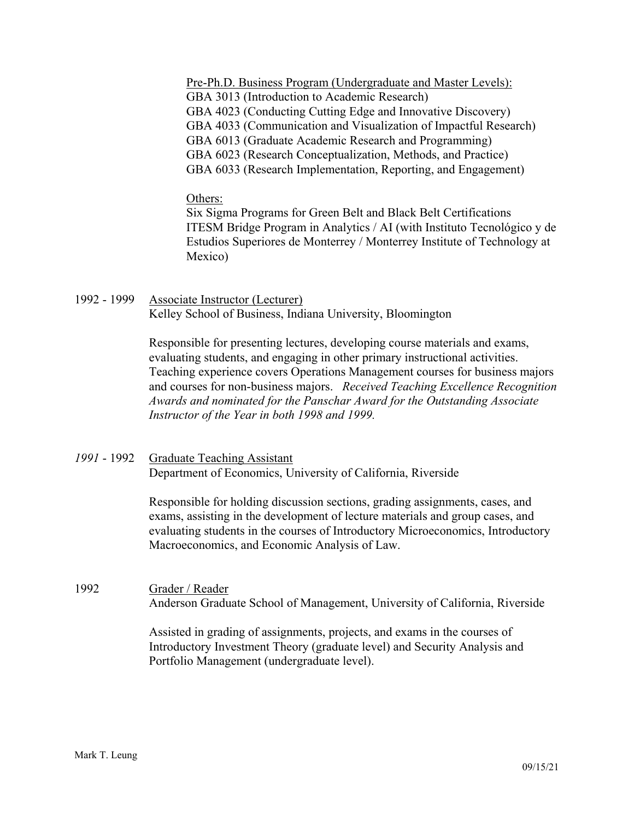Pre-Ph.D. Business Program (Undergraduate and Master Levels): GBA 3013 (Introduction to Academic Research) GBA 4023 (Conducting Cutting Edge and Innovative Discovery) GBA 4033 (Communication and Visualization of Impactful Research) GBA 6013 (Graduate Academic Research and Programming) GBA 6023 (Research Conceptualization, Methods, and Practice) GBA 6033 (Research Implementation, Reporting, and Engagement)

Others:

Six Sigma Programs for Green Belt and Black Belt Certifications ITESM Bridge Program in Analytics / AI (with Instituto Tecnológico y de Estudios Superiores de Monterrey / Monterrey Institute of Technology at Mexico)

1992 - 1999 Associate Instructor (Lecturer) Kelley School of Business, Indiana University, Bloomington

> Responsible for presenting lectures, developing course materials and exams, evaluating students, and engaging in other primary instructional activities. Teaching experience covers Operations Management courses for business majors and courses for non-business majors. *Received Teaching Excellence Recognition Awards and nominated for the Panschar Award for the Outstanding Associate Instructor of the Year in both 1998 and 1999.*

*1991* - 1992 Graduate Teaching Assistant Department of Economics, University of California, Riverside

> Responsible for holding discussion sections, grading assignments, cases, and exams, assisting in the development of lecture materials and group cases, and evaluating students in the courses of Introductory Microeconomics, Introductory Macroeconomics, and Economic Analysis of Law.

1992 Grader / Reader Anderson Graduate School of Management, University of California, Riverside

> Assisted in grading of assignments, projects, and exams in the courses of Introductory Investment Theory (graduate level) and Security Analysis and Portfolio Management (undergraduate level).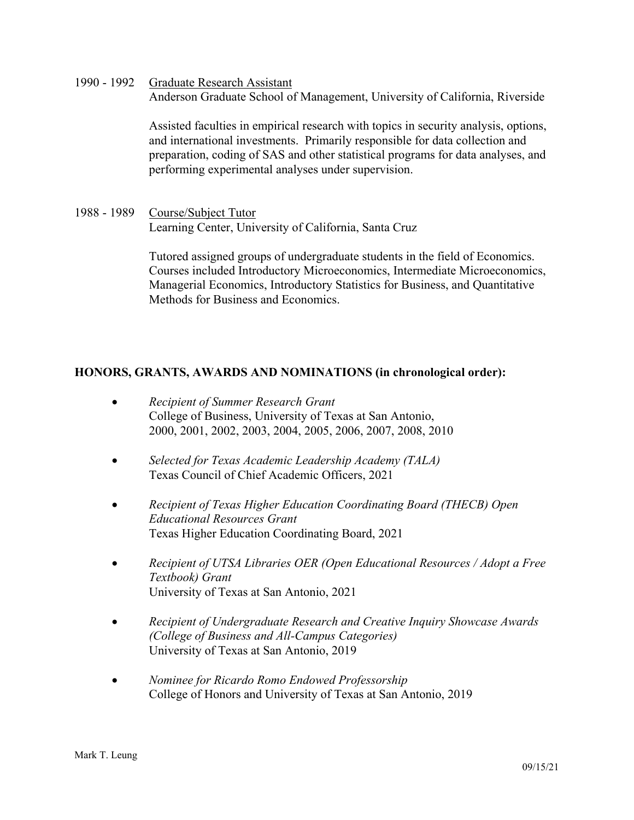1990 - 1992 Graduate Research Assistant Anderson Graduate School of Management, University of California, Riverside

> Assisted faculties in empirical research with topics in security analysis, options, and international investments. Primarily responsible for data collection and preparation, coding of SAS and other statistical programs for data analyses, and performing experimental analyses under supervision.

1988 - 1989 Course/Subject Tutor Learning Center, University of California, Santa Cruz

> Tutored assigned groups of undergraduate students in the field of Economics. Courses included Introductory Microeconomics, Intermediate Microeconomics, Managerial Economics, Introductory Statistics for Business, and Quantitative Methods for Business and Economics.

# **HONORS, GRANTS, AWARDS AND NOMINATIONS (in chronological order):**

| $\bullet$ | <b>Recipient of Summer Research Grant</b>                  |
|-----------|------------------------------------------------------------|
|           | College of Business, University of Texas at San Antonio,   |
|           | 2000, 2001, 2002, 2003, 2004, 2005, 2006, 2007, 2008, 2010 |
|           |                                                            |

- *Selected for Texas Academic Leadership Academy (TALA)* Texas Council of Chief Academic Officers, 2021
- *Recipient of Texas Higher Education Coordinating Board (THECB) Open Educational Resources Grant* Texas Higher Education Coordinating Board, 2021
- *Recipient of UTSA Libraries OER (Open Educational Resources / Adopt a Free Textbook) Grant* University of Texas at San Antonio, 2021
- *Recipient of Undergraduate Research and Creative Inquiry Showcase Awards (College of Business and All-Campus Categories)* University of Texas at San Antonio, 2019
- *Nominee for Ricardo Romo Endowed Professorship* College of Honors and University of Texas at San Antonio, 2019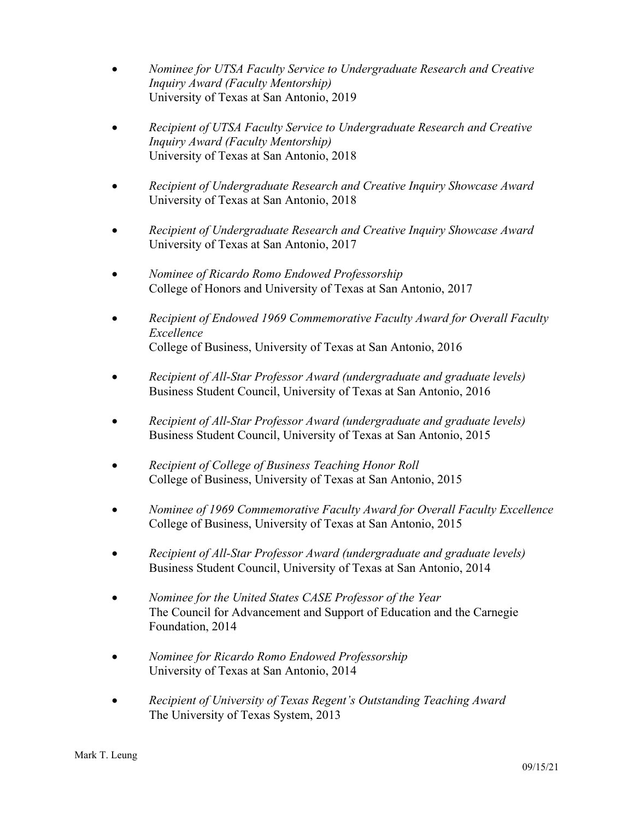- *Nominee for UTSA Faculty Service to Undergraduate Research and Creative Inquiry Award (Faculty Mentorship)* University of Texas at San Antonio, 2019
- *Recipient of UTSA Faculty Service to Undergraduate Research and Creative Inquiry Award (Faculty Mentorship)* University of Texas at San Antonio, 2018
- *Recipient of Undergraduate Research and Creative Inquiry Showcase Award* University of Texas at San Antonio, 2018
- *Recipient of Undergraduate Research and Creative Inquiry Showcase Award* University of Texas at San Antonio, 2017
- *Nominee of Ricardo Romo Endowed Professorship* College of Honors and University of Texas at San Antonio, 2017
- *Recipient of Endowed 1969 Commemorative Faculty Award for Overall Faculty Excellence* College of Business, University of Texas at San Antonio, 2016
- *Recipient of All-Star Professor Award (undergraduate and graduate levels)* Business Student Council, University of Texas at San Antonio, 2016
- *Recipient of All-Star Professor Award (undergraduate and graduate levels)* Business Student Council, University of Texas at San Antonio, 2015
- *Recipient of College of Business Teaching Honor Roll* College of Business, University of Texas at San Antonio, 2015
- *Nominee of 1969 Commemorative Faculty Award for Overall Faculty Excellence* College of Business, University of Texas at San Antonio, 2015
- *Recipient of All-Star Professor Award (undergraduate and graduate levels)* Business Student Council, University of Texas at San Antonio, 2014
- *Nominee for the United States CASE Professor of the Year* The Council for Advancement and Support of Education and the Carnegie Foundation, 2014
- *Nominee for Ricardo Romo Endowed Professorship* University of Texas at San Antonio, 2014
- *Recipient of University of Texas Regent's Outstanding Teaching Award* The University of Texas System, 2013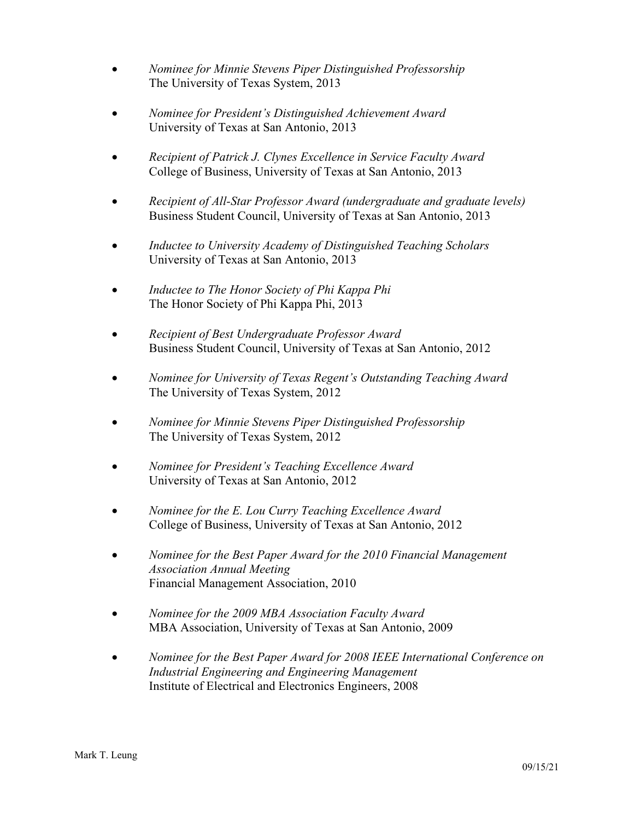- *Nominee for Minnie Stevens Piper Distinguished Professorship* The University of Texas System, 2013
- *Nominee for President's Distinguished Achievement Award* University of Texas at San Antonio, 2013
- *Recipient of Patrick J. Clynes Excellence in Service Faculty Award* College of Business, University of Texas at San Antonio, 2013
- *Recipient of All-Star Professor Award (undergraduate and graduate levels)* Business Student Council, University of Texas at San Antonio, 2013
- *Inductee to University Academy of Distinguished Teaching Scholars* University of Texas at San Antonio, 2013
- *Inductee to The Honor Society of Phi Kappa Phi* The Honor Society of Phi Kappa Phi, 2013
- *Recipient of Best Undergraduate Professor Award* Business Student Council, University of Texas at San Antonio, 2012
- *Nominee for University of Texas Regent's Outstanding Teaching Award* The University of Texas System, 2012
- *Nominee for Minnie Stevens Piper Distinguished Professorship* The University of Texas System, 2012
- *Nominee for President's Teaching Excellence Award* University of Texas at San Antonio, 2012
- *Nominee for the E. Lou Curry Teaching Excellence Award* College of Business, University of Texas at San Antonio, 2012
- *Nominee for the Best Paper Award for the 2010 Financial Management Association Annual Meeting* Financial Management Association, 2010
- *Nominee for the 2009 MBA Association Faculty Award* MBA Association, University of Texas at San Antonio, 2009
- *Nominee for the Best Paper Award for 2008 IEEE International Conference on Industrial Engineering and Engineering Management* Institute of Electrical and Electronics Engineers, 2008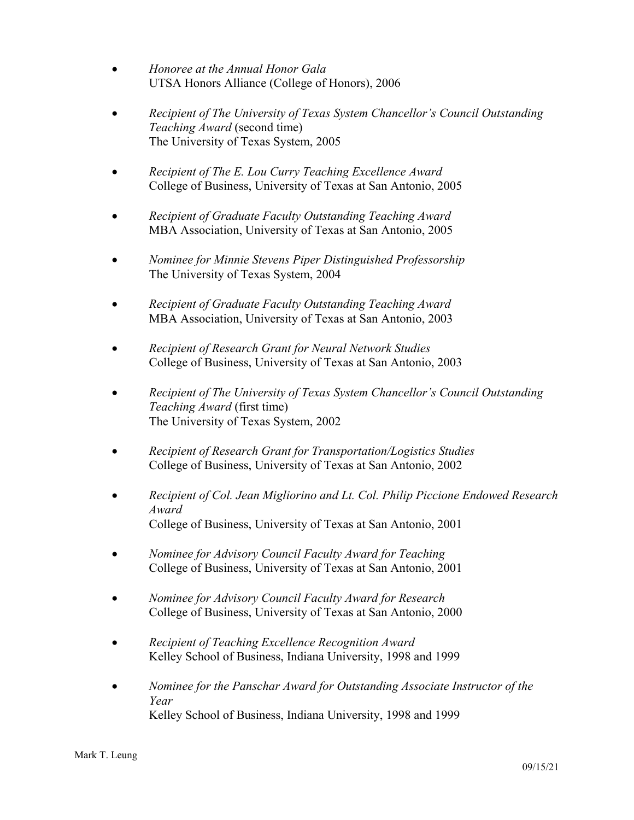- *Honoree at the Annual Honor Gala* UTSA Honors Alliance (College of Honors), 2006
- *Recipient of The University of Texas System Chancellor's Council Outstanding Teaching Award* (second time) The University of Texas System, 2005
- *Recipient of The E. Lou Curry Teaching Excellence Award* College of Business, University of Texas at San Antonio, 2005
- *Recipient of Graduate Faculty Outstanding Teaching Award* MBA Association, University of Texas at San Antonio, 2005
- *Nominee for Minnie Stevens Piper Distinguished Professorship* The University of Texas System, 2004
- *Recipient of Graduate Faculty Outstanding Teaching Award* MBA Association, University of Texas at San Antonio, 2003
- *Recipient of Research Grant for Neural Network Studies* College of Business, University of Texas at San Antonio, 2003
- *Recipient of The University of Texas System Chancellor's Council Outstanding Teaching Award* (first time) The University of Texas System, 2002
- *Recipient of Research Grant for Transportation/Logistics Studies* College of Business, University of Texas at San Antonio, 2002
- *Recipient of Col. Jean Migliorino and Lt. Col. Philip Piccione Endowed Research Award* College of Business, University of Texas at San Antonio, 2001
- *Nominee for Advisory Council Faculty Award for Teaching* College of Business, University of Texas at San Antonio, 2001
- *Nominee for Advisory Council Faculty Award for Research* College of Business, University of Texas at San Antonio, 2000
- *Recipient of Teaching Excellence Recognition Award*  Kelley School of Business, Indiana University, 1998 and 1999
- *Nominee for the Panschar Award for Outstanding Associate Instructor of the Year* Kelley School of Business, Indiana University, 1998 and 1999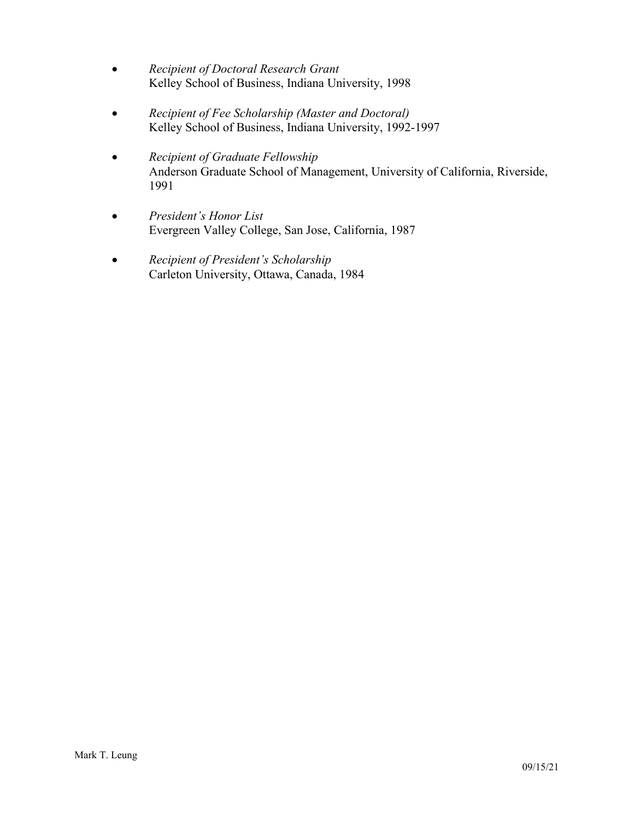- *Recipient of Doctoral Research Grant* Kelley School of Business, Indiana University, 1998
- *Recipient of Fee Scholarship (Master and Doctoral)* Kelley School of Business, Indiana University, 1992-1997
- *Recipient of Graduate Fellowship* Anderson Graduate School of Management, University of California, Riverside, 1991
- *President's Honor List* Evergreen Valley College, San Jose, California, 1987
- *Recipient of President's Scholarship* Carleton University, Ottawa, Canada, 1984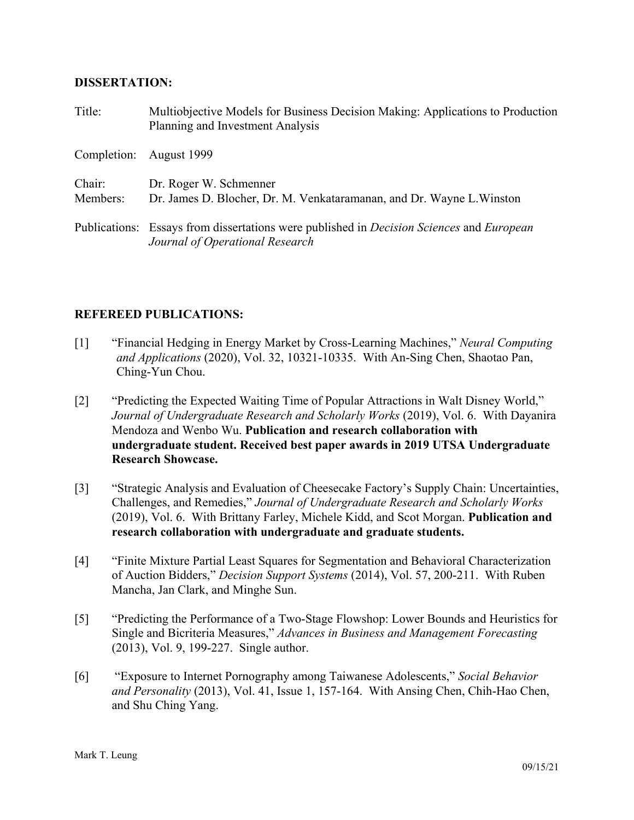#### **DISSERTATION:**

| Title:             | Multiobjective Models for Business Decision Making: Applications to Production<br>Planning and Investment Analysis                        |
|--------------------|-------------------------------------------------------------------------------------------------------------------------------------------|
|                    | Completion: August 1999                                                                                                                   |
| Chair:<br>Members: | Dr. Roger W. Schmenner<br>Dr. James D. Blocher, Dr. M. Venkataramanan, and Dr. Wayne L. Winston                                           |
|                    | Publications: Essays from dissertations were published in <i>Decision Sciences</i> and <i>European</i><br>Journal of Operational Research |

## **REFEREED PUBLICATIONS:**

- [1] "Financial Hedging in Energy Market by Cross-Learning Machines," *Neural Computing and Applications* (2020), Vol. 32, 10321-10335. With An-Sing Chen, Shaotao Pan, Ching-Yun Chou.
- [2] "Predicting the Expected Waiting Time of Popular Attractions in Walt Disney World," *Journal of Undergraduate Research and Scholarly Works* (2019), Vol. 6. With Dayanira Mendoza and Wenbo Wu. **Publication and research collaboration with undergraduate student. Received best paper awards in 2019 UTSA Undergraduate Research Showcase.**
- [3] "Strategic Analysis and Evaluation of Cheesecake Factory's Supply Chain: Uncertainties, Challenges, and Remedies," *Journal of Undergraduate Research and Scholarly Works* (2019), Vol. 6. With Brittany Farley, Michele Kidd, and Scot Morgan. **Publication and research collaboration with undergraduate and graduate students.**
- [4] "Finite Mixture Partial Least Squares for Segmentation and Behavioral Characterization of Auction Bidders," *Decision Support Systems* (2014), Vol. 57, 200-211. With Ruben Mancha, Jan Clark, and Minghe Sun.
- [5] "Predicting the Performance of a Two-Stage Flowshop: Lower Bounds and Heuristics for Single and Bicriteria Measures," *Advances in Business and Management Forecasting* (2013), Vol. 9, 199-227. Single author.
- [6] "Exposure to Internet Pornography among Taiwanese Adolescents," *Social Behavior and Personality* (2013), Vol. 41, Issue 1, 157-164. With Ansing Chen, Chih-Hao Chen, and Shu Ching Yang.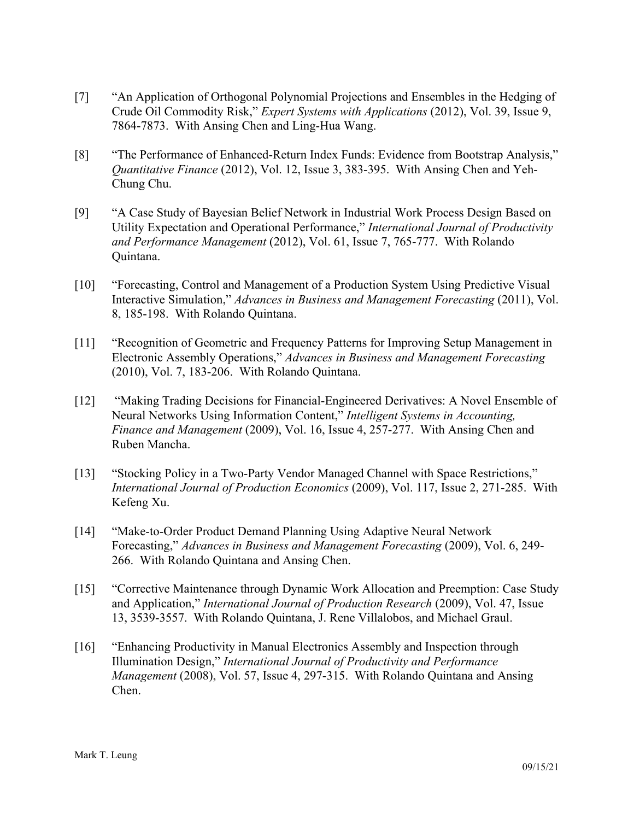- [7] "An Application of Orthogonal Polynomial Projections and Ensembles in the Hedging of Crude Oil Commodity Risk," *Expert Systems with Applications* (2012), Vol. 39, Issue 9, 7864-7873. With Ansing Chen and Ling-Hua Wang.
- [8] "The Performance of Enhanced-Return Index Funds: Evidence from Bootstrap Analysis," *Quantitative Finance* (2012), Vol. 12, Issue 3, 383-395. With Ansing Chen and Yeh-Chung Chu.
- [9] "A Case Study of Bayesian Belief Network in Industrial Work Process Design Based on Utility Expectation and Operational Performance," *International Journal of Productivity and Performance Management* (2012), Vol. 61, Issue 7, 765-777. With Rolando Quintana.
- [10] "Forecasting, Control and Management of a Production System Using Predictive Visual Interactive Simulation," *Advances in Business and Management Forecasting* (2011), Vol. 8, 185-198. With Rolando Quintana.
- [11] "Recognition of Geometric and Frequency Patterns for Improving Setup Management in Electronic Assembly Operations," *Advances in Business and Management Forecasting* (2010), Vol. 7, 183-206. With Rolando Quintana.
- [12] "Making Trading Decisions for Financial-Engineered Derivatives: A Novel Ensemble of Neural Networks Using Information Content," *Intelligent Systems in Accounting, Finance and Management* (2009), Vol. 16, Issue 4, 257-277. With Ansing Chen and Ruben Mancha.
- [13] "Stocking Policy in a Two-Party Vendor Managed Channel with Space Restrictions," *International Journal of Production Economics* (2009), Vol. 117, Issue 2, 271-285. With Kefeng Xu.
- [14] "Make-to-Order Product Demand Planning Using Adaptive Neural Network Forecasting," *Advances in Business and Management Forecasting* (2009), Vol. 6, 249- 266. With Rolando Quintana and Ansing Chen.
- [15] "Corrective Maintenance through Dynamic Work Allocation and Preemption: Case Study and Application," *International Journal of Production Research* (2009), Vol. 47, Issue 13, 3539-3557. With Rolando Quintana, J. Rene Villalobos, and Michael Graul.
- [16] "Enhancing Productivity in Manual Electronics Assembly and Inspection through Illumination Design," *International Journal of Productivity and Performance Management* (2008), Vol. 57, Issue 4, 297-315. With Rolando Quintana and Ansing Chen.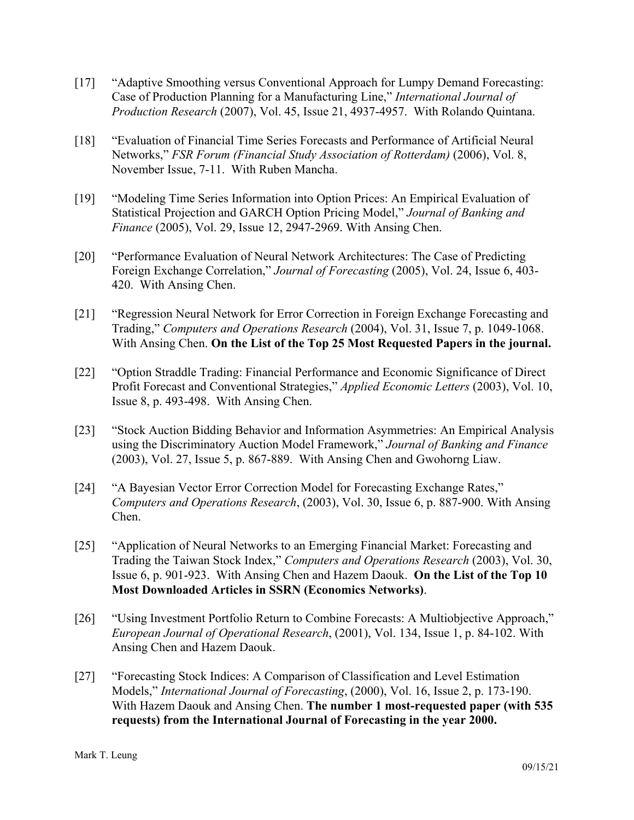- [17] "Adaptive Smoothing versus Conventional Approach for Lumpy Demand Forecasting: Case of Production Planning for a Manufacturing Line," *International Journal of Production Research* (2007), Vol. 45, Issue 21, 4937-4957. With Rolando Quintana.
- [18] "Evaluation of Financial Time Series Forecasts and Performance of Artificial Neural Networks," *FSR Forum (Financial Study Association of Rotterdam)* (2006), Vol. 8, November Issue, 7-11. With Ruben Mancha.
- [19] "Modeling Time Series Information into Option Prices: An Empirical Evaluation of Statistical Projection and GARCH Option Pricing Model," *Journal of Banking and Finance* (2005), Vol. 29, Issue 12, 2947-2969. With Ansing Chen.
- [20] "Performance Evaluation of Neural Network Architectures: The Case of Predicting Foreign Exchange Correlation," *Journal of Forecasting* (2005), Vol. 24, Issue 6, 403- 420. With Ansing Chen.
- [21] "Regression Neural Network for Error Correction in Foreign Exchange Forecasting and Trading," *Computers and Operations Research* (2004), Vol. 31, Issue 7, p. 1049-1068. With Ansing Chen. **On the List of the Top 25 Most Requested Papers in the journal.**
- [22] "Option Straddle Trading: Financial Performance and Economic Significance of Direct Profit Forecast and Conventional Strategies," *Applied Economic Letters* (2003), Vol. 10, Issue 8, p. 493-498. With Ansing Chen.
- [23] "Stock Auction Bidding Behavior and Information Asymmetries: An Empirical Analysis using the Discriminatory Auction Model Framework," *Journal of Banking and Finance* (2003), Vol. 27, Issue 5, p. 867-889. With Ansing Chen and Gwohorng Liaw.
- [24] "A Bayesian Vector Error Correction Model for Forecasting Exchange Rates," *Computers and Operations Research*, (2003), Vol. 30, Issue 6, p. 887-900. With Ansing Chen.
- [25] "Application of Neural Networks to an Emerging Financial Market: Forecasting and Trading the Taiwan Stock Index," *Computers and Operations Research* (2003), Vol. 30, Issue 6, p. 901-923. With Ansing Chen and Hazem Daouk. **On the List of the Top 10 Most Downloaded Articles in SSRN (Economics Networks)**.
- [26] "Using Investment Portfolio Return to Combine Forecasts: A Multiobjective Approach," *European Journal of Operational Research*, (2001), Vol. 134, Issue 1, p. 84-102. With Ansing Chen and Hazem Daouk.
- [27] "Forecasting Stock Indices: A Comparison of Classification and Level Estimation Models," *International Journal of Forecasting*, (2000), Vol. 16, Issue 2, p. 173-190. With Hazem Daouk and Ansing Chen. **The number 1 most-requested paper (with 535 requests) from the International Journal of Forecasting in the year 2000.**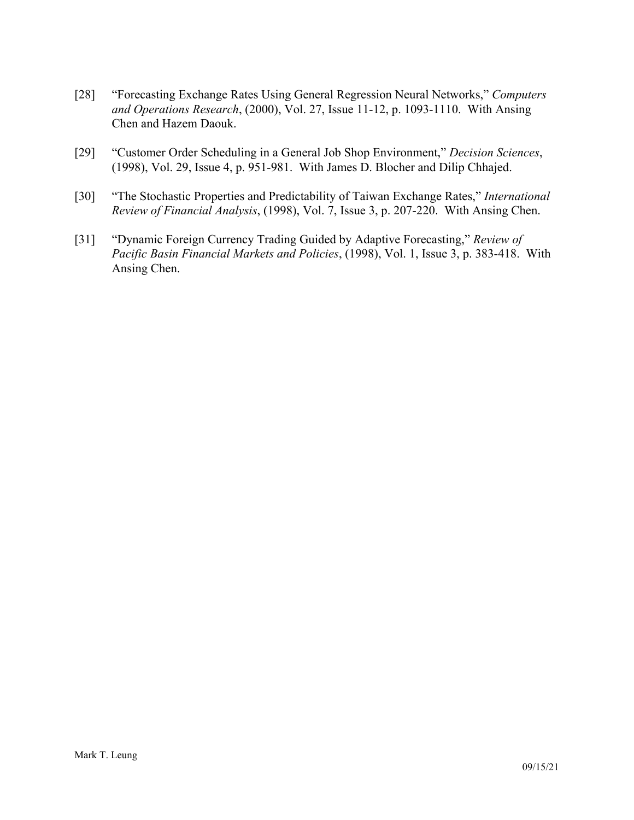- [28] "Forecasting Exchange Rates Using General Regression Neural Networks," *Computers and Operations Research*, (2000), Vol. 27, Issue 11-12, p. 1093-1110. With Ansing Chen and Hazem Daouk.
- [29] "Customer Order Scheduling in a General Job Shop Environment," *Decision Sciences*, (1998), Vol. 29, Issue 4, p. 951-981. With James D. Blocher and Dilip Chhajed.
- [30] "The Stochastic Properties and Predictability of Taiwan Exchange Rates," *International Review of Financial Analysis*, (1998), Vol. 7, Issue 3, p. 207-220. With Ansing Chen.
- [31] "Dynamic Foreign Currency Trading Guided by Adaptive Forecasting," *Review of Pacific Basin Financial Markets and Policies*, (1998), Vol. 1, Issue 3, p. 383-418. With Ansing Chen.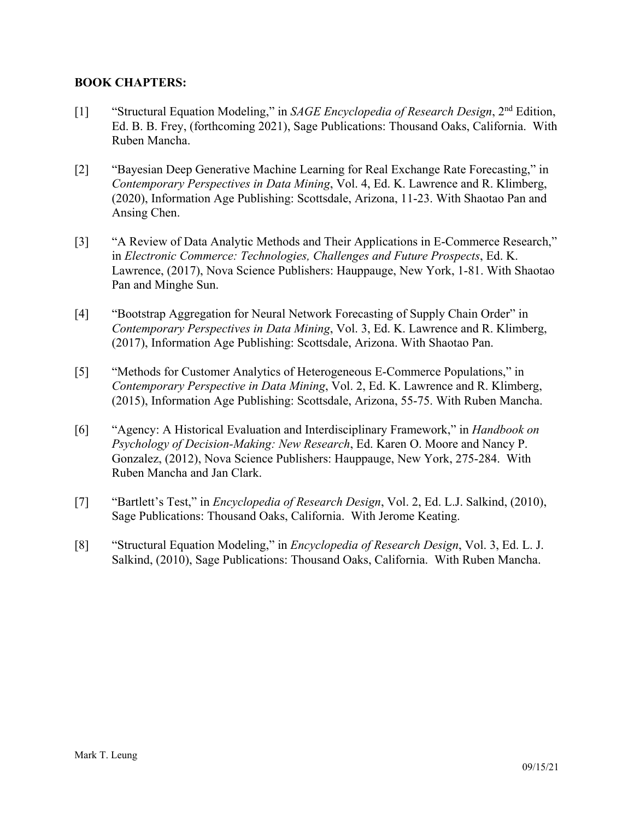## **BOOK CHAPTERS:**

- [1] "Structural Equation Modeling," in *SAGE Encyclopedia of Research Design*, 2nd Edition, Ed. B. B. Frey, (forthcoming 2021), Sage Publications: Thousand Oaks, California. With Ruben Mancha.
- [2] "Bayesian Deep Generative Machine Learning for Real Exchange Rate Forecasting," in *Contemporary Perspectives in Data Mining*, Vol. 4, Ed. K. Lawrence and R. Klimberg, (2020), Information Age Publishing: Scottsdale, Arizona, 11-23. With Shaotao Pan and Ansing Chen.
- [3] "A Review of Data Analytic Methods and Their Applications in E-Commerce Research," in *Electronic Commerce: Technologies, Challenges and Future Prospects*, Ed. K. Lawrence, (2017), Nova Science Publishers: Hauppauge, New York, 1-81. With Shaotao Pan and Minghe Sun.
- [4] "Bootstrap Aggregation for Neural Network Forecasting of Supply Chain Order" in *Contemporary Perspectives in Data Mining*, Vol. 3, Ed. K. Lawrence and R. Klimberg, (2017), Information Age Publishing: Scottsdale, Arizona. With Shaotao Pan.
- [5] "Methods for Customer Analytics of Heterogeneous E-Commerce Populations," in *Contemporary Perspective in Data Mining*, Vol. 2, Ed. K. Lawrence and R. Klimberg, (2015), Information Age Publishing: Scottsdale, Arizona, 55-75. With Ruben Mancha.
- [6] "Agency: A Historical Evaluation and Interdisciplinary Framework," in *Handbook on Psychology of Decision-Making: New Research*, Ed. Karen O. Moore and Nancy P. Gonzalez, (2012), Nova Science Publishers: Hauppauge, New York, 275-284. With Ruben Mancha and Jan Clark.
- [7] "Bartlett's Test," in *Encyclopedia of Research Design*, Vol. 2, Ed. L.J. Salkind, (2010), Sage Publications: Thousand Oaks, California. With Jerome Keating.
- [8] "Structural Equation Modeling," in *Encyclopedia of Research Design*, Vol. 3, Ed. L. J. Salkind, (2010), Sage Publications: Thousand Oaks, California. With Ruben Mancha.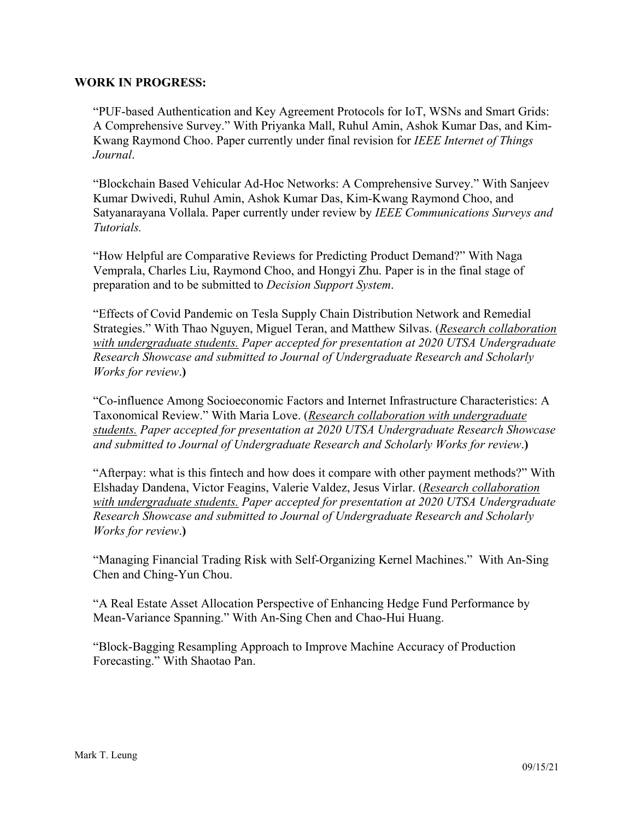## **WORK IN PROGRESS:**

"PUF-based Authentication and Key Agreement Protocols for IoT, WSNs and Smart Grids: A Comprehensive Survey." With Priyanka Mall, Ruhul Amin, Ashok Kumar Das, and Kim-Kwang Raymond Choo. Paper currently under final revision for *IEEE Internet of Things Journal*.

"Blockchain Based Vehicular Ad-Hoc Networks: A Comprehensive Survey." With Sanjeev Kumar Dwivedi, Ruhul Amin, Ashok Kumar Das, Kim-Kwang Raymond Choo, and Satyanarayana Vollala. Paper currently under review by *IEEE Communications Surveys and Tutorials.*

"How Helpful are Comparative Reviews for Predicting Product Demand?" With Naga Vemprala, Charles Liu, Raymond Choo, and Hongyi Zhu. Paper is in the final stage of preparation and to be submitted to *Decision Support System*.

"Effects of Covid Pandemic on Tesla Supply Chain Distribution Network and Remedial Strategies." With Thao Nguyen, Miguel Teran, and Matthew Silvas. (*Research collaboration with undergraduate students. Paper accepted for presentation at 2020 UTSA Undergraduate Research Showcase and submitted to Journal of Undergraduate Research and Scholarly Works for review*.**)**

"Co-influence Among Socioeconomic Factors and Internet Infrastructure Characteristics: A Taxonomical Review." With Maria Love. (*Research collaboration with undergraduate students. Paper accepted for presentation at 2020 UTSA Undergraduate Research Showcase and submitted to Journal of Undergraduate Research and Scholarly Works for review*.**)**

"Afterpay: what is this fintech and how does it compare with other payment methods?" With Elshaday Dandena, Victor Feagins, Valerie Valdez, Jesus Virlar. (*Research collaboration with undergraduate students. Paper accepted for presentation at 2020 UTSA Undergraduate Research Showcase and submitted to Journal of Undergraduate Research and Scholarly Works for review*.**)**

"Managing Financial Trading Risk with Self-Organizing Kernel Machines." With An-Sing Chen and Ching-Yun Chou.

"A Real Estate Asset Allocation Perspective of Enhancing Hedge Fund Performance by Mean-Variance Spanning." With An-Sing Chen and Chao-Hui Huang.

"Block-Bagging Resampling Approach to Improve Machine Accuracy of Production Forecasting." With Shaotao Pan.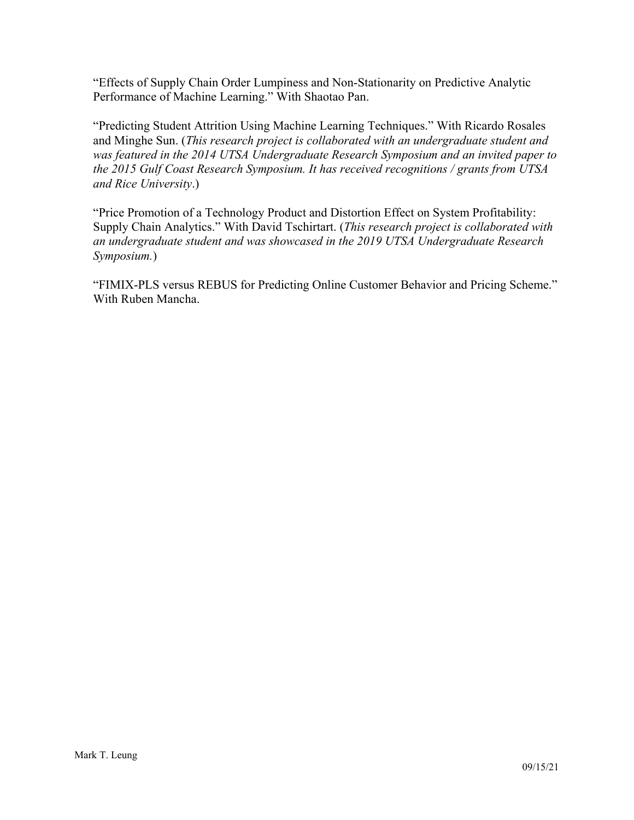"Effects of Supply Chain Order Lumpiness and Non-Stationarity on Predictive Analytic Performance of Machine Learning." With Shaotao Pan.

"Predicting Student Attrition Using Machine Learning Techniques." With Ricardo Rosales and Minghe Sun. (*This research project is collaborated with an undergraduate student and was featured in the 2014 UTSA Undergraduate Research Symposium and an invited paper to the 2015 Gulf Coast Research Symposium. It has received recognitions / grants from UTSA and Rice University*.)

"Price Promotion of a Technology Product and Distortion Effect on System Profitability: Supply Chain Analytics." With David Tschirtart. (*This research project is collaborated with an undergraduate student and was showcased in the 2019 UTSA Undergraduate Research Symposium.*)

"FIMIX-PLS versus REBUS for Predicting Online Customer Behavior and Pricing Scheme." With Ruben Mancha.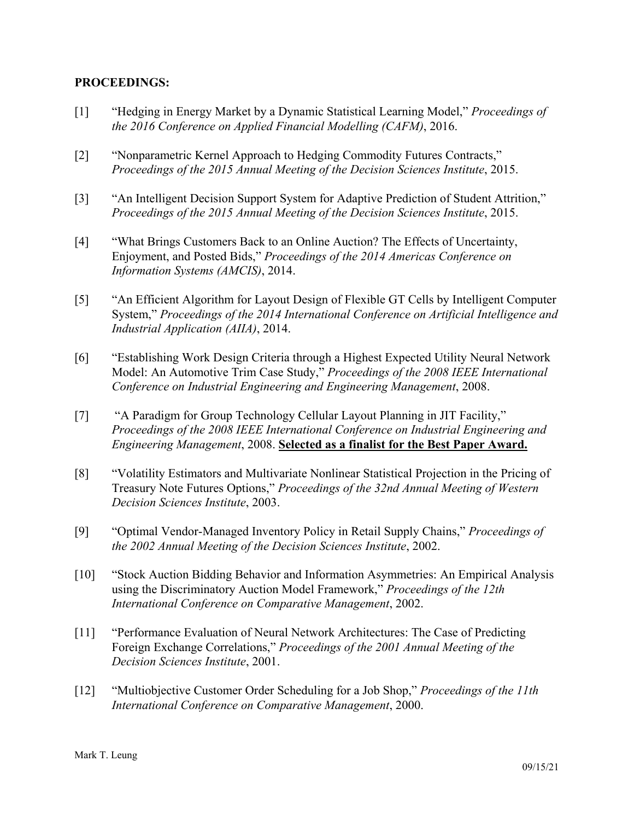#### **PROCEEDINGS:**

- [1] "Hedging in Energy Market by a Dynamic Statistical Learning Model," *Proceedings of the 2016 Conference on Applied Financial Modelling (CAFM)*, 2016.
- [2] "Nonparametric Kernel Approach to Hedging Commodity Futures Contracts," *Proceedings of the 2015 Annual Meeting of the Decision Sciences Institute*, 2015.
- [3] "An Intelligent Decision Support System for Adaptive Prediction of Student Attrition," *Proceedings of the 2015 Annual Meeting of the Decision Sciences Institute*, 2015.
- [4] "What Brings Customers Back to an Online Auction? The Effects of Uncertainty, Enjoyment, and Posted Bids," *Proceedings of the 2014 Americas Conference on Information Systems (AMCIS)*, 2014.
- [5] "An Efficient Algorithm for Layout Design of Flexible GT Cells by Intelligent Computer System," *Proceedings of the 2014 International Conference on Artificial Intelligence and Industrial Application (AIIA)*, 2014.
- [6] "Establishing Work Design Criteria through a Highest Expected Utility Neural Network Model: An Automotive Trim Case Study," *Proceedings of the 2008 IEEE International Conference on Industrial Engineering and Engineering Management*, 2008.
- [7] "A Paradigm for Group Technology Cellular Layout Planning in JIT Facility," *Proceedings of the 2008 IEEE International Conference on Industrial Engineering and Engineering Management*, 2008. **Selected as a finalist for the Best Paper Award.**
- [8] "Volatility Estimators and Multivariate Nonlinear Statistical Projection in the Pricing of Treasury Note Futures Options," *Proceedings of the 32nd Annual Meeting of Western Decision Sciences Institute*, 2003.
- [9] "Optimal Vendor-Managed Inventory Policy in Retail Supply Chains," *Proceedings of the 2002 Annual Meeting of the Decision Sciences Institute*, 2002.
- [10] "Stock Auction Bidding Behavior and Information Asymmetries: An Empirical Analysis using the Discriminatory Auction Model Framework," *Proceedings of the 12th International Conference on Comparative Management*, 2002.
- [11] "Performance Evaluation of Neural Network Architectures: The Case of Predicting Foreign Exchange Correlations," *Proceedings of the 2001 Annual Meeting of the Decision Sciences Institute*, 2001.
- [12] "Multiobjective Customer Order Scheduling for a Job Shop," *Proceedings of the 11th International Conference on Comparative Management*, 2000.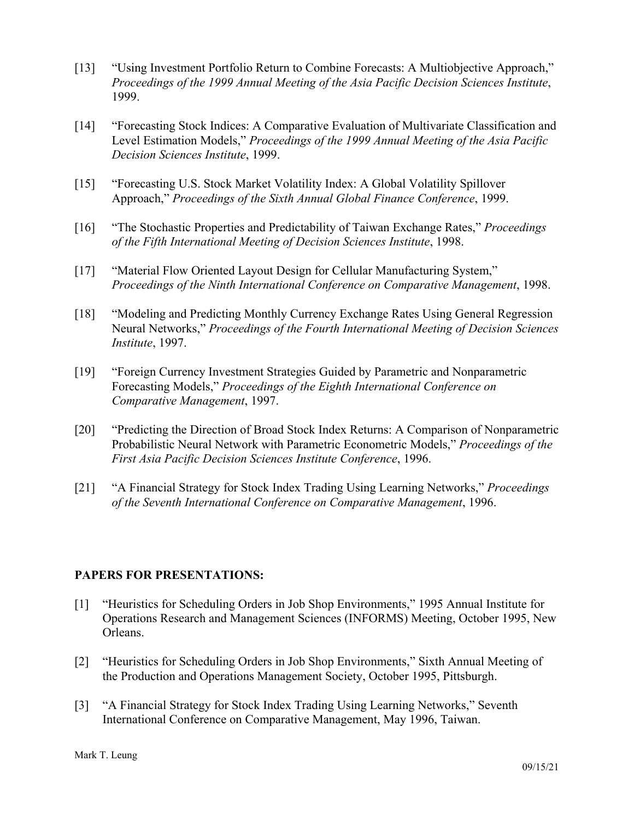- [13] "Using Investment Portfolio Return to Combine Forecasts: A Multiobjective Approach," *Proceedings of the 1999 Annual Meeting of the Asia Pacific Decision Sciences Institute*, 1999.
- [14] "Forecasting Stock Indices: A Comparative Evaluation of Multivariate Classification and Level Estimation Models," *Proceedings of the 1999 Annual Meeting of the Asia Pacific Decision Sciences Institute*, 1999.
- [15] "Forecasting U.S. Stock Market Volatility Index: A Global Volatility Spillover Approach," *Proceedings of the Sixth Annual Global Finance Conference*, 1999.
- [16] "The Stochastic Properties and Predictability of Taiwan Exchange Rates," *Proceedings of the Fifth International Meeting of Decision Sciences Institute*, 1998.
- [17] "Material Flow Oriented Layout Design for Cellular Manufacturing System," *Proceedings of the Ninth International Conference on Comparative Management*, 1998.
- [18] "Modeling and Predicting Monthly Currency Exchange Rates Using General Regression Neural Networks," *Proceedings of the Fourth International Meeting of Decision Sciences Institute*, 1997.
- [19] "Foreign Currency Investment Strategies Guided by Parametric and Nonparametric Forecasting Models," *Proceedings of the Eighth International Conference on Comparative Management*, 1997.
- [20] "Predicting the Direction of Broad Stock Index Returns: A Comparison of Nonparametric Probabilistic Neural Network with Parametric Econometric Models," *Proceedings of the First Asia Pacific Decision Sciences Institute Conference*, 1996.
- [21] "A Financial Strategy for Stock Index Trading Using Learning Networks," *Proceedings of the Seventh International Conference on Comparative Management*, 1996.

#### **PAPERS FOR PRESENTATIONS:**

- [1] "Heuristics for Scheduling Orders in Job Shop Environments," 1995 Annual Institute for Operations Research and Management Sciences (INFORMS) Meeting, October 1995, New Orleans.
- [2] "Heuristics for Scheduling Orders in Job Shop Environments," Sixth Annual Meeting of the Production and Operations Management Society, October 1995, Pittsburgh.
- [3] "A Financial Strategy for Stock Index Trading Using Learning Networks," Seventh International Conference on Comparative Management, May 1996, Taiwan.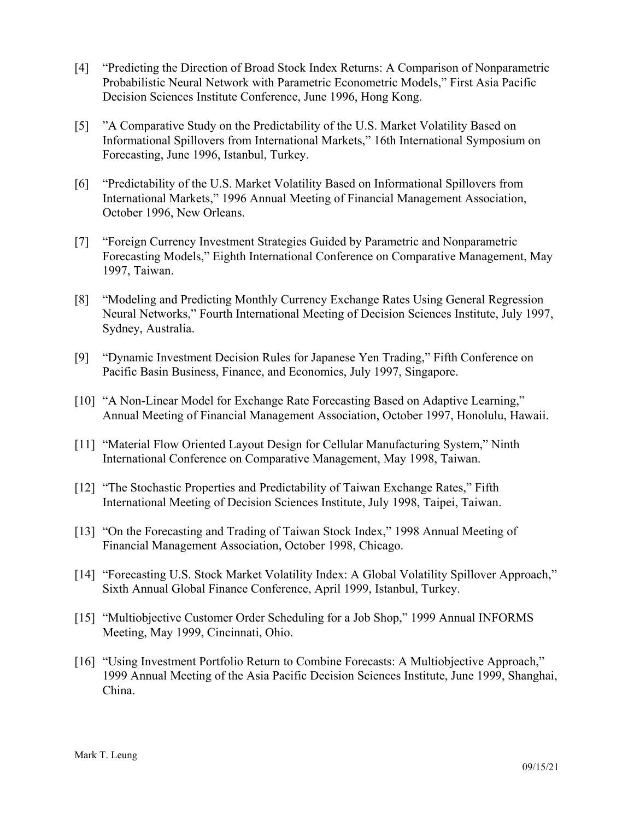- [4] "Predicting the Direction of Broad Stock Index Returns: A Comparison of Nonparametric Probabilistic Neural Network with Parametric Econometric Models," First Asia Pacific Decision Sciences Institute Conference, June 1996, Hong Kong.
- [5] "A Comparative Study on the Predictability of the U.S. Market Volatility Based on Informational Spillovers from International Markets," 16th International Symposium on Forecasting, June 1996, Istanbul, Turkey.
- [6] "Predictability of the U.S. Market Volatility Based on Informational Spillovers from International Markets," 1996 Annual Meeting of Financial Management Association, October 1996, New Orleans.
- [7] "Foreign Currency Investment Strategies Guided by Parametric and Nonparametric Forecasting Models," Eighth International Conference on Comparative Management, May 1997, Taiwan.
- [8] "Modeling and Predicting Monthly Currency Exchange Rates Using General Regression Neural Networks," Fourth International Meeting of Decision Sciences Institute, July 1997, Sydney, Australia.
- [9] "Dynamic Investment Decision Rules for Japanese Yen Trading," Fifth Conference on Pacific Basin Business, Finance, and Economics, July 1997, Singapore.
- [10] "A Non-Linear Model for Exchange Rate Forecasting Based on Adaptive Learning," Annual Meeting of Financial Management Association, October 1997, Honolulu, Hawaii.
- [11] "Material Flow Oriented Layout Design for Cellular Manufacturing System," Ninth International Conference on Comparative Management, May 1998, Taiwan.
- [12] "The Stochastic Properties and Predictability of Taiwan Exchange Rates," Fifth International Meeting of Decision Sciences Institute, July 1998, Taipei, Taiwan.
- [13] "On the Forecasting and Trading of Taiwan Stock Index," 1998 Annual Meeting of Financial Management Association, October 1998, Chicago.
- [14] "Forecasting U.S. Stock Market Volatility Index: A Global Volatility Spillover Approach," Sixth Annual Global Finance Conference, April 1999, Istanbul, Turkey.
- [15] "Multiobjective Customer Order Scheduling for a Job Shop," 1999 Annual INFORMS Meeting, May 1999, Cincinnati, Ohio.
- [16] "Using Investment Portfolio Return to Combine Forecasts: A Multiobjective Approach," 1999 Annual Meeting of the Asia Pacific Decision Sciences Institute, June 1999, Shanghai, China.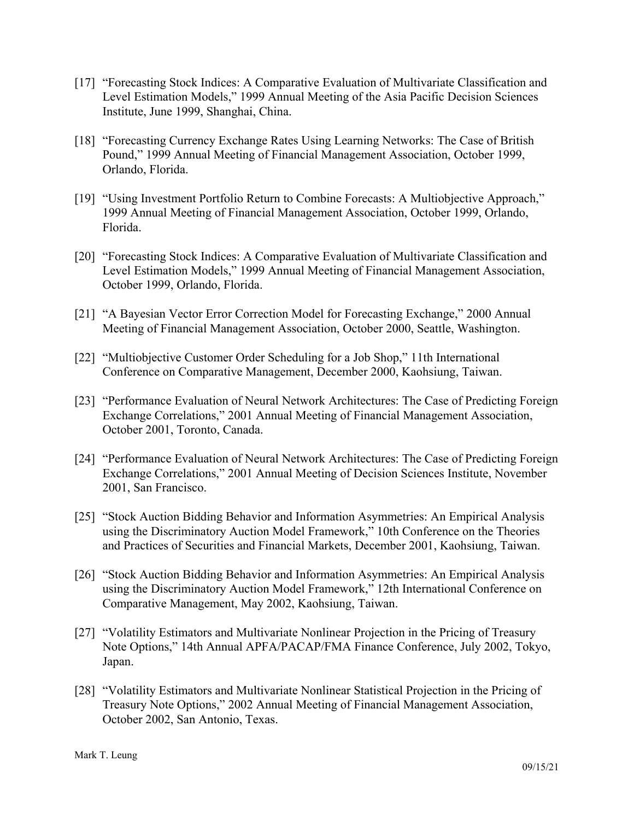- [17] "Forecasting Stock Indices: A Comparative Evaluation of Multivariate Classification and Level Estimation Models," 1999 Annual Meeting of the Asia Pacific Decision Sciences Institute, June 1999, Shanghai, China.
- [18] "Forecasting Currency Exchange Rates Using Learning Networks: The Case of British Pound," 1999 Annual Meeting of Financial Management Association, October 1999, Orlando, Florida.
- [19] "Using Investment Portfolio Return to Combine Forecasts: A Multiobjective Approach," 1999 Annual Meeting of Financial Management Association, October 1999, Orlando, Florida.
- [20] "Forecasting Stock Indices: A Comparative Evaluation of Multivariate Classification and Level Estimation Models," 1999 Annual Meeting of Financial Management Association, October 1999, Orlando, Florida.
- [21] "A Bayesian Vector Error Correction Model for Forecasting Exchange," 2000 Annual Meeting of Financial Management Association, October 2000, Seattle, Washington.
- [22] "Multiobjective Customer Order Scheduling for a Job Shop," 11th International Conference on Comparative Management, December 2000, Kaohsiung, Taiwan.
- [23] "Performance Evaluation of Neural Network Architectures: The Case of Predicting Foreign Exchange Correlations," 2001 Annual Meeting of Financial Management Association, October 2001, Toronto, Canada.
- [24] "Performance Evaluation of Neural Network Architectures: The Case of Predicting Foreign Exchange Correlations," 2001 Annual Meeting of Decision Sciences Institute, November 2001, San Francisco.
- [25] "Stock Auction Bidding Behavior and Information Asymmetries: An Empirical Analysis using the Discriminatory Auction Model Framework," 10th Conference on the Theories and Practices of Securities and Financial Markets, December 2001, Kaohsiung, Taiwan.
- [26] "Stock Auction Bidding Behavior and Information Asymmetries: An Empirical Analysis using the Discriminatory Auction Model Framework," 12th International Conference on Comparative Management, May 2002, Kaohsiung, Taiwan.
- [27] "Volatility Estimators and Multivariate Nonlinear Projection in the Pricing of Treasury Note Options," 14th Annual APFA/PACAP/FMA Finance Conference, July 2002, Tokyo, Japan.
- [28] "Volatility Estimators and Multivariate Nonlinear Statistical Projection in the Pricing of Treasury Note Options," 2002 Annual Meeting of Financial Management Association, October 2002, San Antonio, Texas.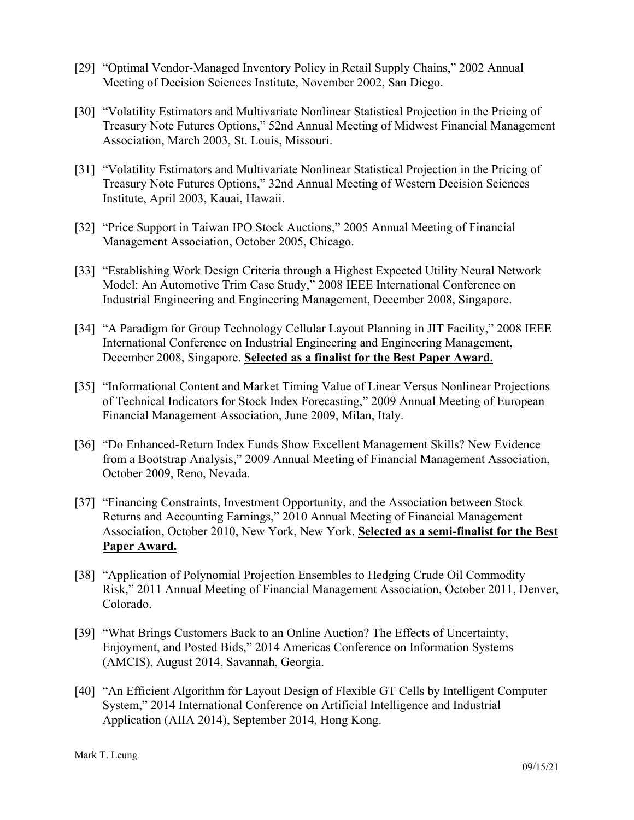- [29] "Optimal Vendor-Managed Inventory Policy in Retail Supply Chains," 2002 Annual Meeting of Decision Sciences Institute, November 2002, San Diego.
- [30] "Volatility Estimators and Multivariate Nonlinear Statistical Projection in the Pricing of Treasury Note Futures Options," 52nd Annual Meeting of Midwest Financial Management Association, March 2003, St. Louis, Missouri.
- [31] "Volatility Estimators and Multivariate Nonlinear Statistical Projection in the Pricing of Treasury Note Futures Options," 32nd Annual Meeting of Western Decision Sciences Institute, April 2003, Kauai, Hawaii.
- [32] "Price Support in Taiwan IPO Stock Auctions," 2005 Annual Meeting of Financial Management Association, October 2005, Chicago.
- [33] "Establishing Work Design Criteria through a Highest Expected Utility Neural Network Model: An Automotive Trim Case Study," 2008 IEEE International Conference on Industrial Engineering and Engineering Management, December 2008, Singapore.
- [34] "A Paradigm for Group Technology Cellular Layout Planning in JIT Facility," 2008 IEEE International Conference on Industrial Engineering and Engineering Management, December 2008, Singapore. **Selected as a finalist for the Best Paper Award.**
- [35] "Informational Content and Market Timing Value of Linear Versus Nonlinear Projections of Technical Indicators for Stock Index Forecasting," 2009 Annual Meeting of European Financial Management Association, June 2009, Milan, Italy.
- [36] "Do Enhanced-Return Index Funds Show Excellent Management Skills? New Evidence from a Bootstrap Analysis," 2009 Annual Meeting of Financial Management Association, October 2009, Reno, Nevada.
- [37] "Financing Constraints, Investment Opportunity, and the Association between Stock Returns and Accounting Earnings," 2010 Annual Meeting of Financial Management Association, October 2010, New York, New York. **Selected as a semi-finalist for the Best Paper Award.**
- [38] "Application of Polynomial Projection Ensembles to Hedging Crude Oil Commodity Risk," 2011 Annual Meeting of Financial Management Association, October 2011, Denver, Colorado.
- [39] "What Brings Customers Back to an Online Auction? The Effects of Uncertainty, Enjoyment, and Posted Bids," 2014 Americas Conference on Information Systems (AMCIS), August 2014, Savannah, Georgia.
- [40] "An Efficient Algorithm for Layout Design of Flexible GT Cells by Intelligent Computer System," 2014 International Conference on Artificial Intelligence and Industrial Application (AIIA 2014), September 2014, Hong Kong.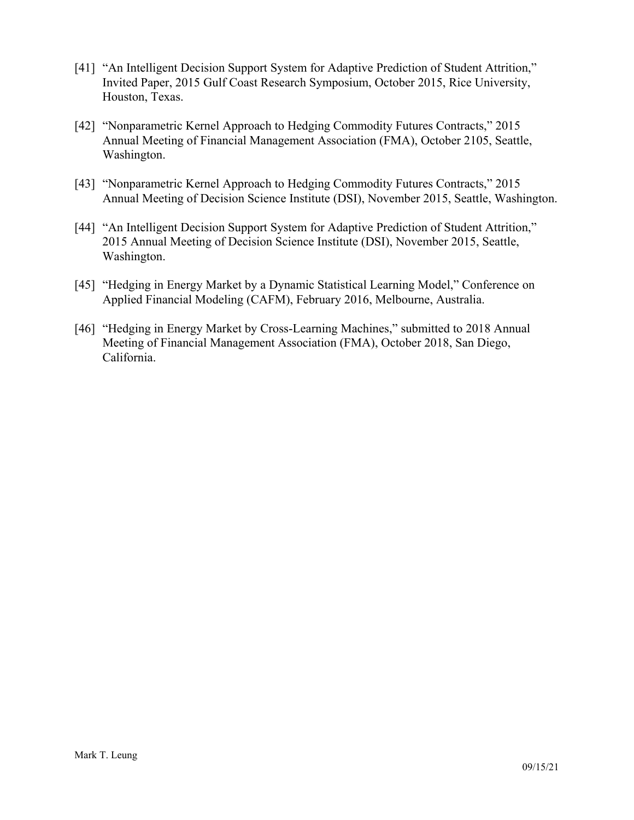- [41] "An Intelligent Decision Support System for Adaptive Prediction of Student Attrition," Invited Paper, 2015 Gulf Coast Research Symposium, October 2015, Rice University, Houston, Texas.
- [42] "Nonparametric Kernel Approach to Hedging Commodity Futures Contracts," 2015 Annual Meeting of Financial Management Association (FMA), October 2105, Seattle, Washington.
- [43] "Nonparametric Kernel Approach to Hedging Commodity Futures Contracts," 2015 Annual Meeting of Decision Science Institute (DSI), November 2015, Seattle, Washington.
- [44] "An Intelligent Decision Support System for Adaptive Prediction of Student Attrition," 2015 Annual Meeting of Decision Science Institute (DSI), November 2015, Seattle, Washington.
- [45] "Hedging in Energy Market by a Dynamic Statistical Learning Model," Conference on Applied Financial Modeling (CAFM), February 2016, Melbourne, Australia.
- [46] "Hedging in Energy Market by Cross-Learning Machines," submitted to 2018 Annual Meeting of Financial Management Association (FMA), October 2018, San Diego, California.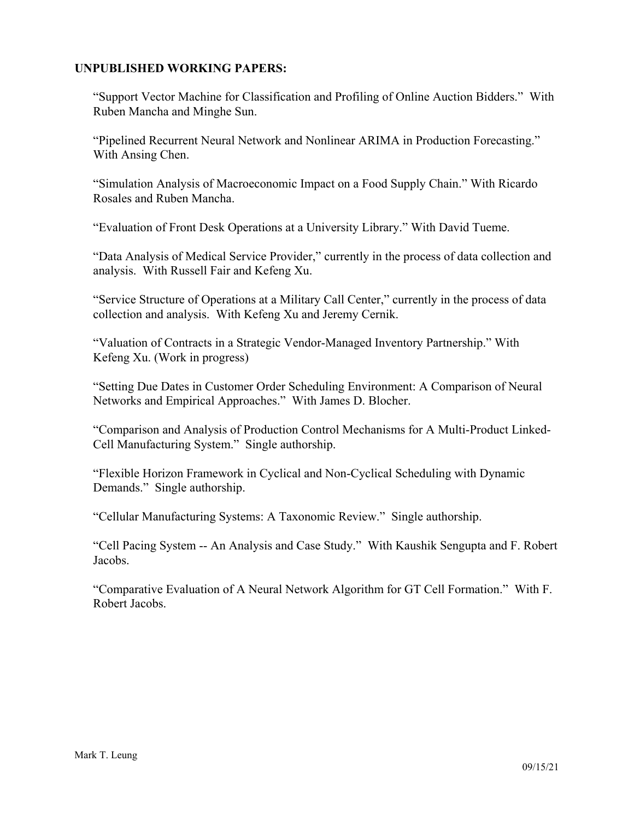## **UNPUBLISHED WORKING PAPERS:**

"Support Vector Machine for Classification and Profiling of Online Auction Bidders." With Ruben Mancha and Minghe Sun.

"Pipelined Recurrent Neural Network and Nonlinear ARIMA in Production Forecasting." With Ansing Chen.

"Simulation Analysis of Macroeconomic Impact on a Food Supply Chain." With Ricardo Rosales and Ruben Mancha.

"Evaluation of Front Desk Operations at a University Library." With David Tueme.

"Data Analysis of Medical Service Provider," currently in the process of data collection and analysis. With Russell Fair and Kefeng Xu.

"Service Structure of Operations at a Military Call Center," currently in the process of data collection and analysis. With Kefeng Xu and Jeremy Cernik.

"Valuation of Contracts in a Strategic Vendor-Managed Inventory Partnership." With Kefeng Xu. (Work in progress)

"Setting Due Dates in Customer Order Scheduling Environment: A Comparison of Neural Networks and Empirical Approaches." With James D. Blocher.

"Comparison and Analysis of Production Control Mechanisms for A Multi-Product Linked-Cell Manufacturing System." Single authorship.

"Flexible Horizon Framework in Cyclical and Non-Cyclical Scheduling with Dynamic Demands." Single authorship.

"Cellular Manufacturing Systems: A Taxonomic Review." Single authorship.

"Cell Pacing System -- An Analysis and Case Study." With Kaushik Sengupta and F. Robert Jacobs.

"Comparative Evaluation of A Neural Network Algorithm for GT Cell Formation." With F. Robert Jacobs.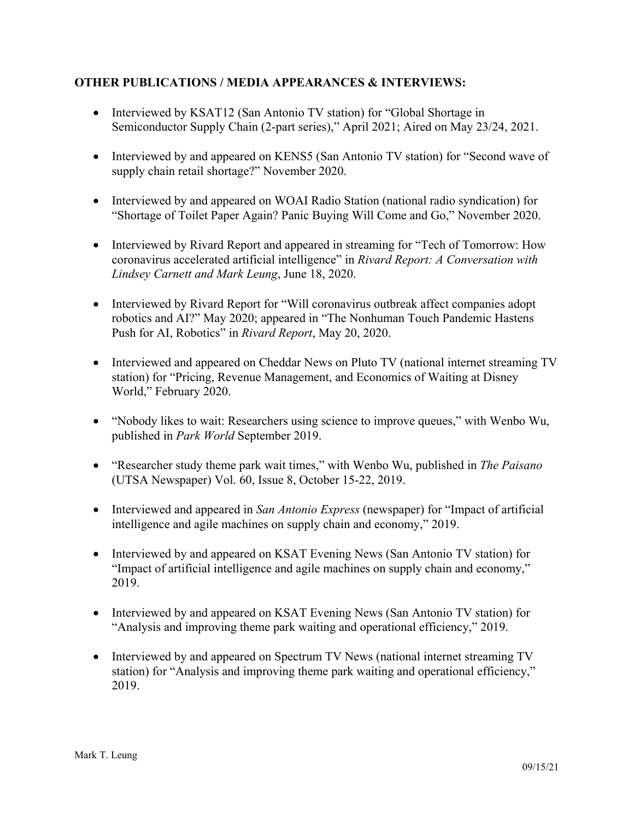# **OTHER PUBLICATIONS / MEDIA APPEARANCES & INTERVIEWS:**

- Interviewed by KSAT12 (San Antonio TV station) for "Global Shortage in Semiconductor Supply Chain (2-part series)," April 2021; Aired on May 23/24, 2021.
- Interviewed by and appeared on KENS5 (San Antonio TV station) for "Second wave of supply chain retail shortage?" November 2020.
- Interviewed by and appeared on WOAI Radio Station (national radio syndication) for "Shortage of Toilet Paper Again? Panic Buying Will Come and Go," November 2020.
- Interviewed by Rivard Report and appeared in streaming for "Tech of Tomorrow: How coronavirus accelerated artificial intelligence" in *Rivard Report: A Conversation with Lindsey Carnett and Mark Leung*, June 18, 2020.
- Interviewed by Rivard Report for "Will coronavirus outbreak affect companies adopt robotics and AI?" May 2020; appeared in "The Nonhuman Touch Pandemic Hastens Push for AI, Robotics" in *Rivard Report*, May 20, 2020.
- Interviewed and appeared on Cheddar News on Pluto TV (national internet streaming TV station) for "Pricing, Revenue Management, and Economics of Waiting at Disney World," February 2020.
- "Nobody likes to wait: Researchers using science to improve queues," with Wenbo Wu, published in *Park World* September 2019.
- "Researcher study theme park wait times," with Wenbo Wu, published in *The Paisano* (UTSA Newspaper) Vol. 60, Issue 8, October 15-22, 2019.
- Interviewed and appeared in *San Antonio Express* (newspaper) for "Impact of artificial intelligence and agile machines on supply chain and economy," 2019.
- Interviewed by and appeared on KSAT Evening News (San Antonio TV station) for "Impact of artificial intelligence and agile machines on supply chain and economy," 2019.
- Interviewed by and appeared on KSAT Evening News (San Antonio TV station) for "Analysis and improving theme park waiting and operational efficiency," 2019.
- Interviewed by and appeared on Spectrum TV News (national internet streaming TV station) for "Analysis and improving theme park waiting and operational efficiency," 2019.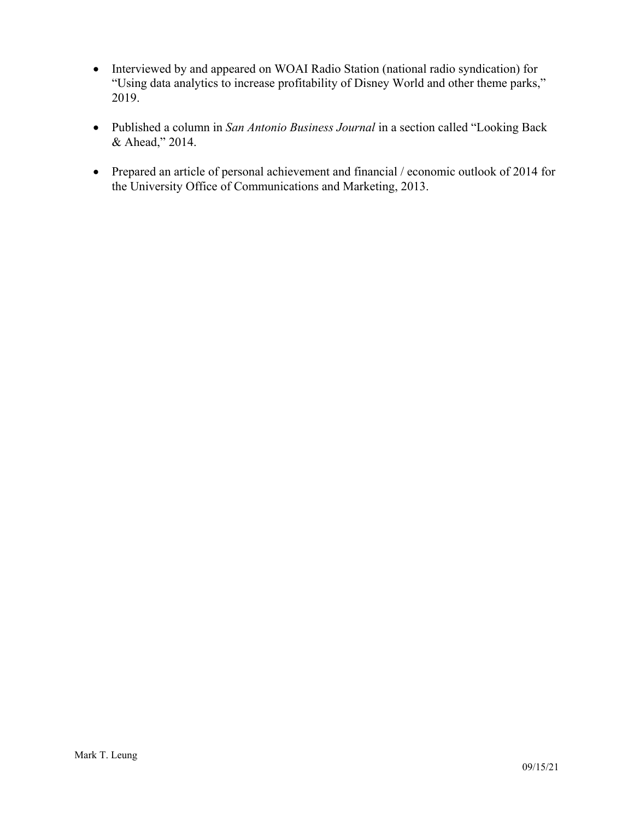- Interviewed by and appeared on WOAI Radio Station (national radio syndication) for "Using data analytics to increase profitability of Disney World and other theme parks," 2019.
- Published a column in *San Antonio Business Journal* in a section called "Looking Back & Ahead," 2014.
- Prepared an article of personal achievement and financial / economic outlook of 2014 for the University Office of Communications and Marketing, 2013.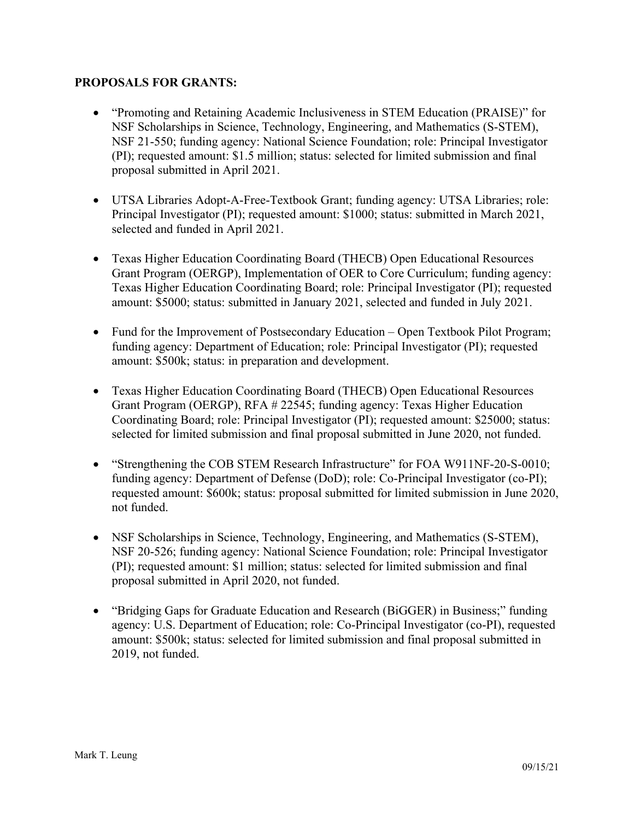## **PROPOSALS FOR GRANTS:**

- "Promoting and Retaining Academic Inclusiveness in STEM Education (PRAISE)" for NSF Scholarships in Science, Technology, Engineering, and Mathematics (S-STEM), NSF 21-550; funding agency: National Science Foundation; role: Principal Investigator (PI); requested amount: \$1.5 million; status: selected for limited submission and final proposal submitted in April 2021.
- UTSA Libraries Adopt-A-Free-Textbook Grant; funding agency: UTSA Libraries; role: Principal Investigator (PI); requested amount: \$1000; status: submitted in March 2021, selected and funded in April 2021.
- Texas Higher Education Coordinating Board (THECB) Open Educational Resources Grant Program (OERGP), Implementation of OER to Core Curriculum; funding agency: Texas Higher Education Coordinating Board; role: Principal Investigator (PI); requested amount: \$5000; status: submitted in January 2021, selected and funded in July 2021.
- Fund for the Improvement of Postsecondary Education Open Textbook Pilot Program; funding agency: Department of Education; role: Principal Investigator (PI); requested amount: \$500k; status: in preparation and development.
- Texas Higher Education Coordinating Board (THECB) Open Educational Resources Grant Program (OERGP), RFA # 22545; funding agency: Texas Higher Education Coordinating Board; role: Principal Investigator (PI); requested amount: \$25000; status: selected for limited submission and final proposal submitted in June 2020, not funded.
- "Strengthening the COB STEM Research Infrastructure" for FOA W911NF-20-S-0010; funding agency: Department of Defense (DoD); role: Co-Principal Investigator (co-PI); requested amount: \$600k; status: proposal submitted for limited submission in June 2020, not funded.
- NSF Scholarships in Science, Technology, Engineering, and Mathematics (S-STEM), NSF 20-526; funding agency: National Science Foundation; role: Principal Investigator (PI); requested amount: \$1 million; status: selected for limited submission and final proposal submitted in April 2020, not funded.
- "Bridging Gaps for Graduate Education and Research (BiGGER) in Business;" funding agency: U.S. Department of Education; role: Co-Principal Investigator (co-PI), requested amount: \$500k; status: selected for limited submission and final proposal submitted in 2019, not funded.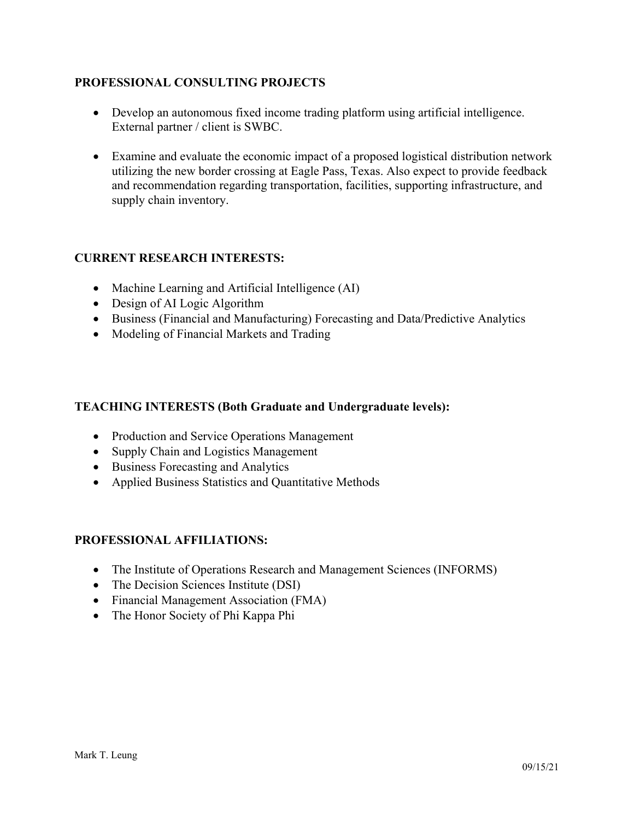# **PROFESSIONAL CONSULTING PROJECTS**

- Develop an autonomous fixed income trading platform using artificial intelligence. External partner / client is SWBC.
- Examine and evaluate the economic impact of a proposed logistical distribution network utilizing the new border crossing at Eagle Pass, Texas. Also expect to provide feedback and recommendation regarding transportation, facilities, supporting infrastructure, and supply chain inventory.

# **CURRENT RESEARCH INTERESTS:**

- Machine Learning and Artificial Intelligence (AI)
- Design of AI Logic Algorithm
- Business (Financial and Manufacturing) Forecasting and Data/Predictive Analytics
- Modeling of Financial Markets and Trading

# **TEACHING INTERESTS (Both Graduate and Undergraduate levels):**

- Production and Service Operations Management
- Supply Chain and Logistics Management
- Business Forecasting and Analytics
- Applied Business Statistics and Quantitative Methods

# **PROFESSIONAL AFFILIATIONS:**

- The Institute of Operations Research and Management Sciences (INFORMS)
- The Decision Sciences Institute (DSI)
- Financial Management Association (FMA)
- The Honor Society of Phi Kappa Phi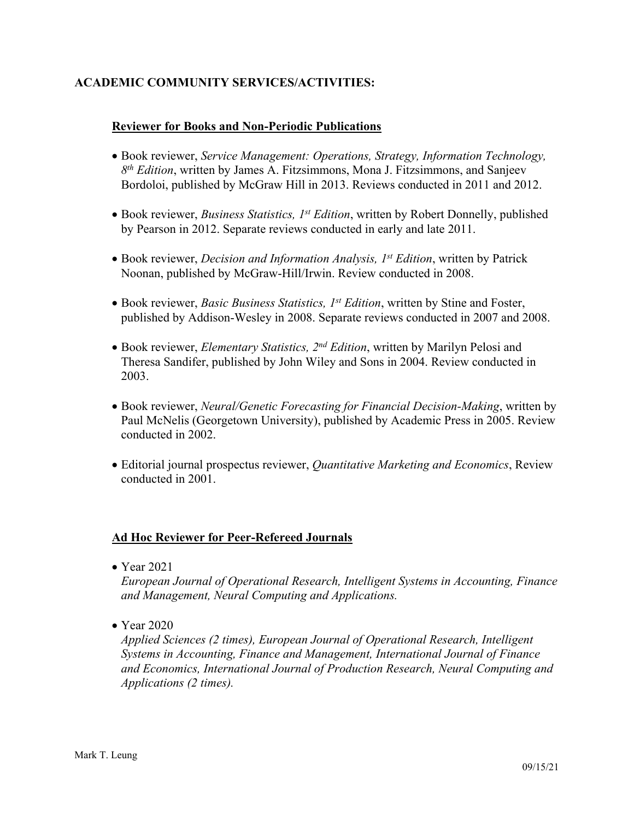# **ACADEMIC COMMUNITY SERVICES/ACTIVITIES:**

## **Reviewer for Books and Non-Periodic Publications**

- Book reviewer, *Service Management: Operations, Strategy, Information Technology, 8th Edition*, written by James A. Fitzsimmons, Mona J. Fitzsimmons, and Sanjeev Bordoloi, published by McGraw Hill in 2013. Reviews conducted in 2011 and 2012.
- Book reviewer, *Business Statistics, 1st Edition*, written by Robert Donnelly, published by Pearson in 2012. Separate reviews conducted in early and late 2011.
- Book reviewer, *Decision and Information Analysis, 1st Edition*, written by Patrick Noonan, published by McGraw-Hill/Irwin. Review conducted in 2008.
- Book reviewer, *Basic Business Statistics, 1st Edition*, written by Stine and Foster, published by Addison-Wesley in 2008. Separate reviews conducted in 2007 and 2008.
- Book reviewer, *Elementary Statistics, 2nd Edition*, written by Marilyn Pelosi and Theresa Sandifer, published by John Wiley and Sons in 2004. Review conducted in 2003.
- Book reviewer, *Neural/Genetic Forecasting for Financial Decision-Making*, written by Paul McNelis (Georgetown University), published by Academic Press in 2005. Review conducted in 2002.
- Editorial journal prospectus reviewer, *Quantitative Marketing and Economics*, Review conducted in 2001.

# **Ad Hoc Reviewer for Peer-Refereed Journals**

• Year 2021

*European Journal of Operational Research, Intelligent Systems in Accounting, Finance and Management, Neural Computing and Applications.*

• Year 2020

*Applied Sciences (2 times), European Journal of Operational Research, Intelligent Systems in Accounting, Finance and Management, International Journal of Finance and Economics, International Journal of Production Research, Neural Computing and Applications (2 times).*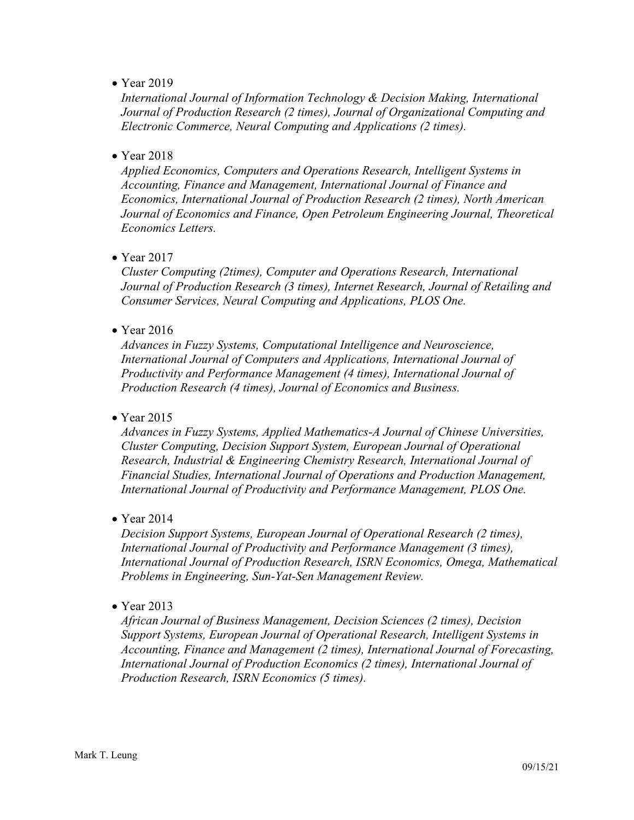• Year 2019

*International Journal of Information Technology & Decision Making, International Journal of Production Research (2 times), Journal of Organizational Computing and Electronic Commerce, Neural Computing and Applications (2 times).*

• Year 2018

*Applied Economics, Computers and Operations Research, Intelligent Systems in Accounting, Finance and Management, International Journal of Finance and Economics, International Journal of Production Research (2 times), North American Journal of Economics and Finance, Open Petroleum Engineering Journal, Theoretical Economics Letters.*

• Year 2017

*Cluster Computing (2times), Computer and Operations Research, International Journal of Production Research (3 times), Internet Research, Journal of Retailing and Consumer Services, Neural Computing and Applications, PLOS One.*

• Year 2016

*Advances in Fuzzy Systems, Computational Intelligence and Neuroscience, International Journal of Computers and Applications, International Journal of Productivity and Performance Management (4 times), International Journal of Production Research (4 times), Journal of Economics and Business.*

• Year 2015

*Advances in Fuzzy Systems, Applied Mathematics-A Journal of Chinese Universities, Cluster Computing, Decision Support System, European Journal of Operational Research, Industrial & Engineering Chemistry Research, International Journal of Financial Studies, International Journal of Operations and Production Management, International Journal of Productivity and Performance Management, PLOS One.*

• Year 2014

*Decision Support Systems, European Journal of Operational Research (2 times), International Journal of Productivity and Performance Management (3 times), International Journal of Production Research, ISRN Economics, Omega, Mathematical Problems in Engineering, Sun-Yat-Sen Management Review.*

• Year 2013

*African Journal of Business Management, Decision Sciences (2 times), Decision Support Systems, European Journal of Operational Research, Intelligent Systems in Accounting, Finance and Management (2 times), International Journal of Forecasting, International Journal of Production Economics (2 times), International Journal of Production Research, ISRN Economics (5 times).*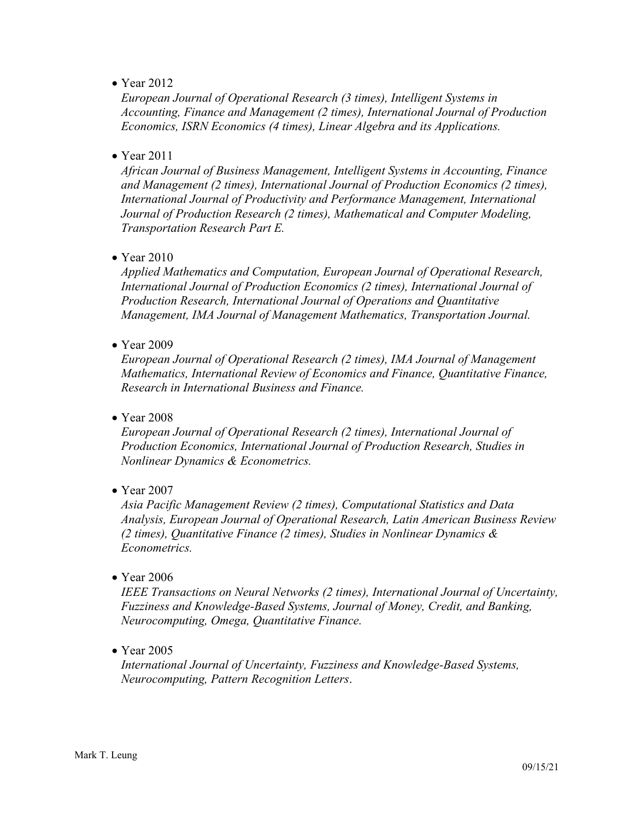• Year 2012

*European Journal of Operational Research (3 times), Intelligent Systems in Accounting, Finance and Management (2 times), International Journal of Production Economics, ISRN Economics (4 times), Linear Algebra and its Applications.*

• Year 2011

*African Journal of Business Management, Intelligent Systems in Accounting, Finance and Management (2 times), International Journal of Production Economics (2 times), International Journal of Productivity and Performance Management, International Journal of Production Research (2 times), Mathematical and Computer Modeling, Transportation Research Part E.*

• Year 2010

*Applied Mathematics and Computation, European Journal of Operational Research, International Journal of Production Economics (2 times), International Journal of Production Research, International Journal of Operations and Quantitative Management, IMA Journal of Management Mathematics, Transportation Journal.*

• Year 2009

*European Journal of Operational Research (2 times), IMA Journal of Management Mathematics, International Review of Economics and Finance, Quantitative Finance, Research in International Business and Finance.*

• Year 2008

*European Journal of Operational Research (2 times), International Journal of Production Economics, International Journal of Production Research, Studies in Nonlinear Dynamics & Econometrics.*

• Year 2007

*Asia Pacific Management Review (2 times), Computational Statistics and Data Analysis, European Journal of Operational Research, Latin American Business Review (2 times), Quantitative Finance (2 times), Studies in Nonlinear Dynamics & Econometrics.*

• Year 2006

*IEEE Transactions on Neural Networks (2 times), International Journal of Uncertainty, Fuzziness and Knowledge-Based Systems, Journal of Money, Credit, and Banking, Neurocomputing, Omega, Quantitative Finance.*

• Year 2005

*International Journal of Uncertainty, Fuzziness and Knowledge-Based Systems, Neurocomputing, Pattern Recognition Letters*.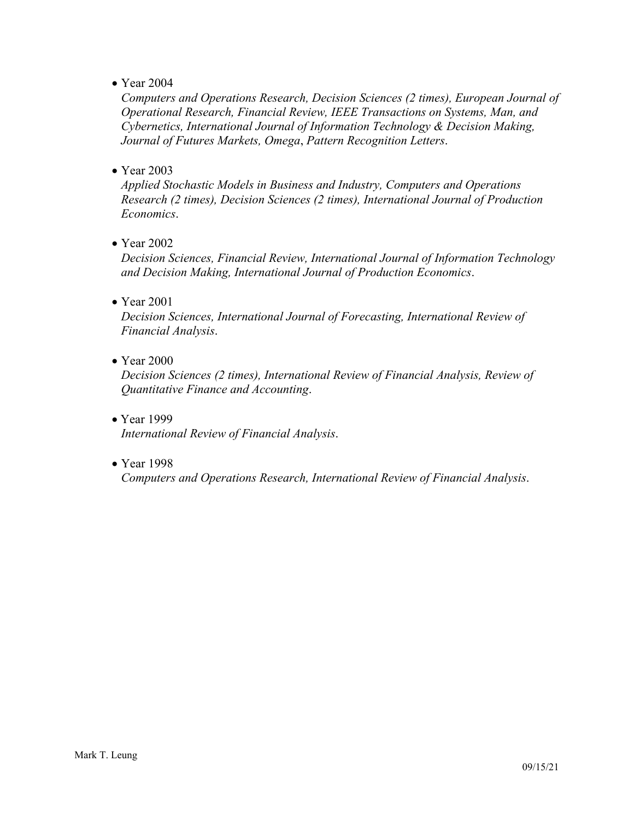• Year 2004

*Computers and Operations Research, Decision Sciences (2 times), European Journal of Operational Research, Financial Review, IEEE Transactions on Systems, Man, and Cybernetics, International Journal of Information Technology & Decision Making, Journal of Futures Markets, Omega*, *Pattern Recognition Letters*.

• Year 2003

*Applied Stochastic Models in Business and Industry, Computers and Operations Research (2 times), Decision Sciences (2 times), International Journal of Production Economics*.

• Year 2002

*Decision Sciences, Financial Review, International Journal of Information Technology and Decision Making, International Journal of Production Economics*.

• Year 2001

*Decision Sciences, International Journal of Forecasting, International Review of Financial Analysis*.

• Year 2000

*Decision Sciences (2 times), International Review of Financial Analysis, Review of Quantitative Finance and Accounting*.

- Year 1999 *International Review of Financial Analysis*.
- Year 1998 *Computers and Operations Research, International Review of Financial Analysis*.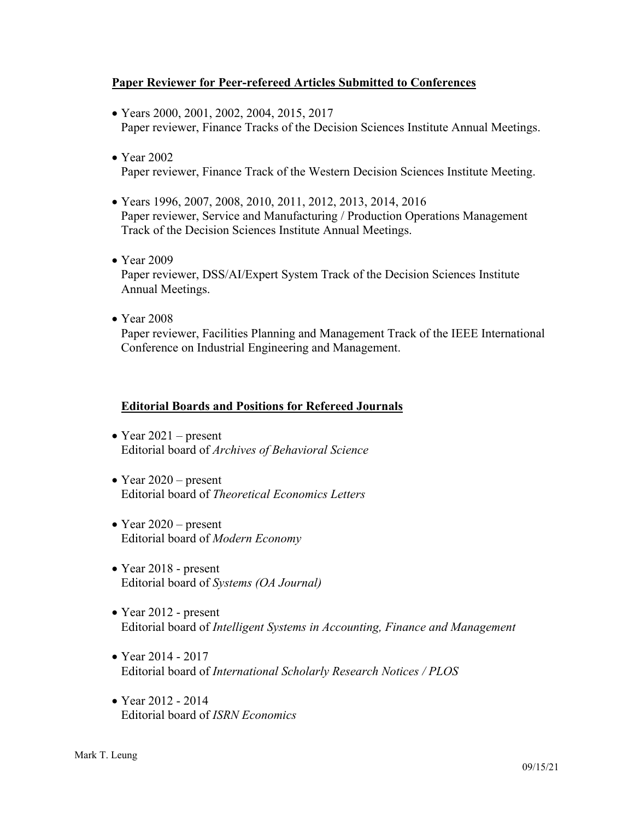## **Paper Reviewer for Peer-refereed Articles Submitted to Conferences**

- Years 2000, 2001, 2002, 2004, 2015, 2017 Paper reviewer, Finance Tracks of the Decision Sciences Institute Annual Meetings.
- Year 2002 Paper reviewer, Finance Track of the Western Decision Sciences Institute Meeting.
- Years 1996, 2007, 2008, 2010, 2011, 2012, 2013, 2014, 2016 Paper reviewer, Service and Manufacturing / Production Operations Management Track of the Decision Sciences Institute Annual Meetings.
- Year 2009 Paper reviewer, DSS/AI/Expert System Track of the Decision Sciences Institute Annual Meetings.
- Year 2008

Paper reviewer, Facilities Planning and Management Track of the IEEE International Conference on Industrial Engineering and Management.

# **Editorial Boards and Positions for Refereed Journals**

- Year  $2021$  present Editorial board of *Archives of Behavioral Science*
- Year  $2020$  present Editorial board of *Theoretical Economics Letters*
- Year  $2020$  present Editorial board of *Modern Economy*
- Year 2018 present Editorial board of *Systems (OA Journal)*
- Year 2012 present Editorial board of *Intelligent Systems in Accounting, Finance and Management*
- Year 2014 2017 Editorial board of *International Scholarly Research Notices / PLOS*
- Year 2012 2014 Editorial board of *ISRN Economics*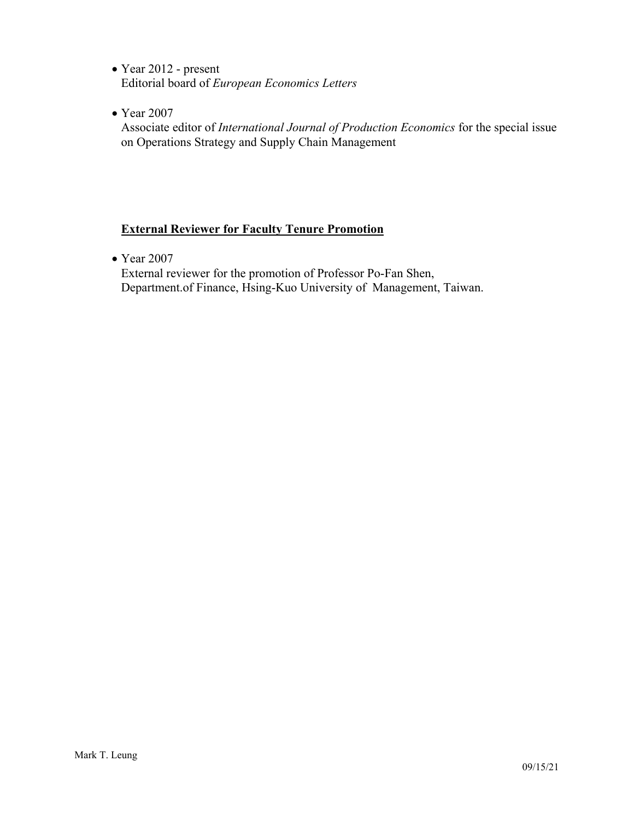- Year 2012 present Editorial board of *European Economics Letters*
- Year 2007

Associate editor of *International Journal of Production Economics* for the special issue on Operations Strategy and Supply Chain Management

# **External Reviewer for Faculty Tenure Promotion**

• Year 2007

External reviewer for the promotion of Professor Po-Fan Shen, Department.of Finance, Hsing-Kuo University of Management, Taiwan.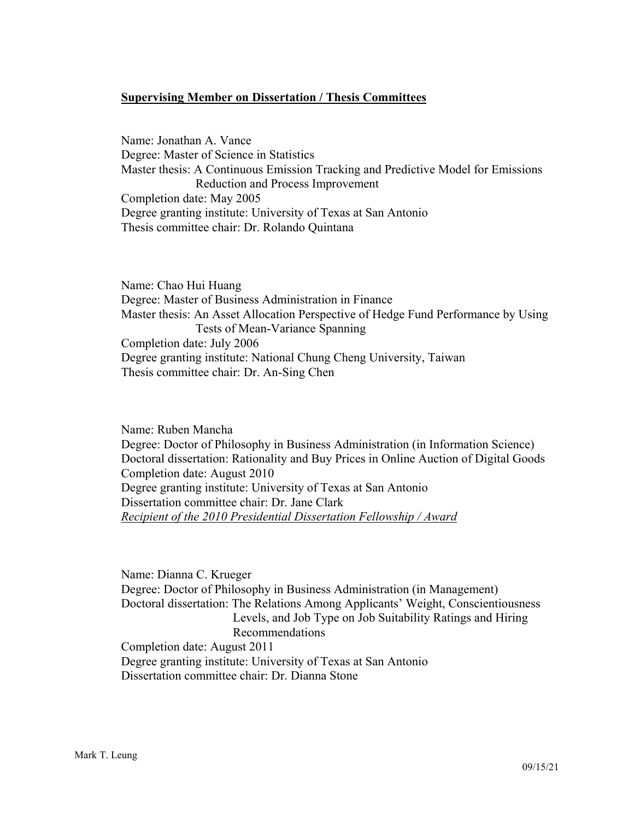#### **Supervising Member on Dissertation / Thesis Committees**

Name: Jonathan A. Vance Degree: Master of Science in Statistics Master thesis: A Continuous Emission Tracking and Predictive Model for Emissions Reduction and Process Improvement Completion date: May 2005 Degree granting institute: University of Texas at San Antonio Thesis committee chair: Dr. Rolando Quintana

Name: Chao Hui Huang Degree: Master of Business Administration in Finance Master thesis: An Asset Allocation Perspective of Hedge Fund Performance by Using Tests of Mean-Variance Spanning Completion date: July 2006 Degree granting institute: National Chung Cheng University, Taiwan Thesis committee chair: Dr. An-Sing Chen

Name: Ruben Mancha Degree: Doctor of Philosophy in Business Administration (in Information Science) Doctoral dissertation: Rationality and Buy Prices in Online Auction of Digital Goods Completion date: August 2010 Degree granting institute: University of Texas at San Antonio Dissertation committee chair: Dr. Jane Clark *Recipient of the 2010 Presidential Dissertation Fellowship / Award*

Name: Dianna C. Krueger Degree: Doctor of Philosophy in Business Administration (in Management) Doctoral dissertation: The Relations Among Applicants' Weight, Conscientiousness Levels, and Job Type on Job Suitability Ratings and Hiring Recommendations Completion date: August 2011 Degree granting institute: University of Texas at San Antonio Dissertation committee chair: Dr. Dianna Stone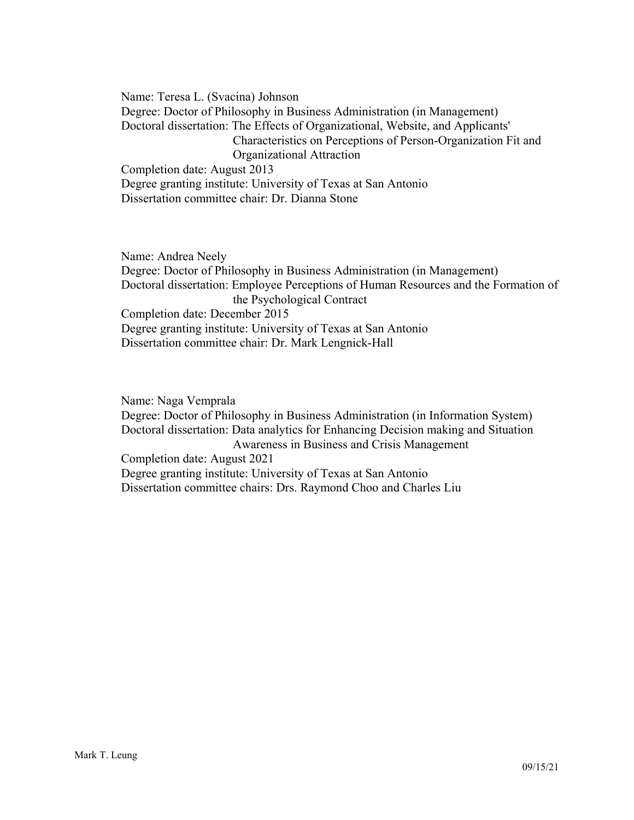Name: Teresa L. (Svacina) Johnson Degree: Doctor of Philosophy in Business Administration (in Management) Doctoral dissertation: The Effects of Organizational, Website, and Applicants' Characteristics on Perceptions of Person-Organization Fit and Organizational Attraction Completion date: August 2013 Degree granting institute: University of Texas at San Antonio Dissertation committee chair: Dr. Dianna Stone

Name: Andrea Neely Degree: Doctor of Philosophy in Business Administration (in Management) Doctoral dissertation: Employee Perceptions of Human Resources and the Formation of the Psychological Contract Completion date: December 2015 Degree granting institute: University of Texas at San Antonio Dissertation committee chair: Dr. Mark Lengnick-Hall

Name: Naga Vemprala

Degree: Doctor of Philosophy in Business Administration (in Information System) Doctoral dissertation: Data analytics for Enhancing Decision making and Situation Awareness in Business and Crisis Management Completion date: August 2021 Degree granting institute: University of Texas at San Antonio Dissertation committee chairs: Drs. Raymond Choo and Charles Liu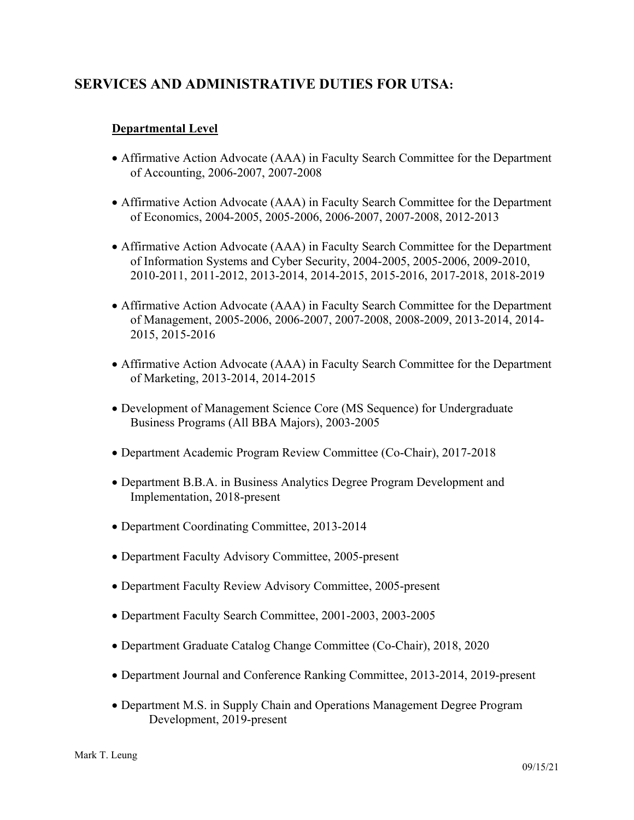# **SERVICES AND ADMINISTRATIVE DUTIES FOR UTSA:**

# **Departmental Level**

- Affirmative Action Advocate (AAA) in Faculty Search Committee for the Department of Accounting, 2006-2007, 2007-2008
- Affirmative Action Advocate (AAA) in Faculty Search Committee for the Department of Economics, 2004-2005, 2005-2006, 2006-2007, 2007-2008, 2012-2013
- Affirmative Action Advocate (AAA) in Faculty Search Committee for the Department of Information Systems and Cyber Security, 2004-2005, 2005-2006, 2009-2010, 2010-2011, 2011-2012, 2013-2014, 2014-2015, 2015-2016, 2017-2018, 2018-2019
- Affirmative Action Advocate (AAA) in Faculty Search Committee for the Department of Management, 2005-2006, 2006-2007, 2007-2008, 2008-2009, 2013-2014, 2014- 2015, 2015-2016
- Affirmative Action Advocate (AAA) in Faculty Search Committee for the Department of Marketing, 2013-2014, 2014-2015
- Development of Management Science Core (MS Sequence) for Undergraduate Business Programs (All BBA Majors), 2003-2005
- Department Academic Program Review Committee (Co-Chair), 2017-2018
- Department B.B.A. in Business Analytics Degree Program Development and Implementation, 2018-present
- Department Coordinating Committee, 2013-2014
- Department Faculty Advisory Committee, 2005-present
- Department Faculty Review Advisory Committee, 2005-present
- Department Faculty Search Committee, 2001-2003, 2003-2005
- Department Graduate Catalog Change Committee (Co-Chair), 2018, 2020
- Department Journal and Conference Ranking Committee, 2013-2014, 2019-present
- Department M.S. in Supply Chain and Operations Management Degree Program Development, 2019-present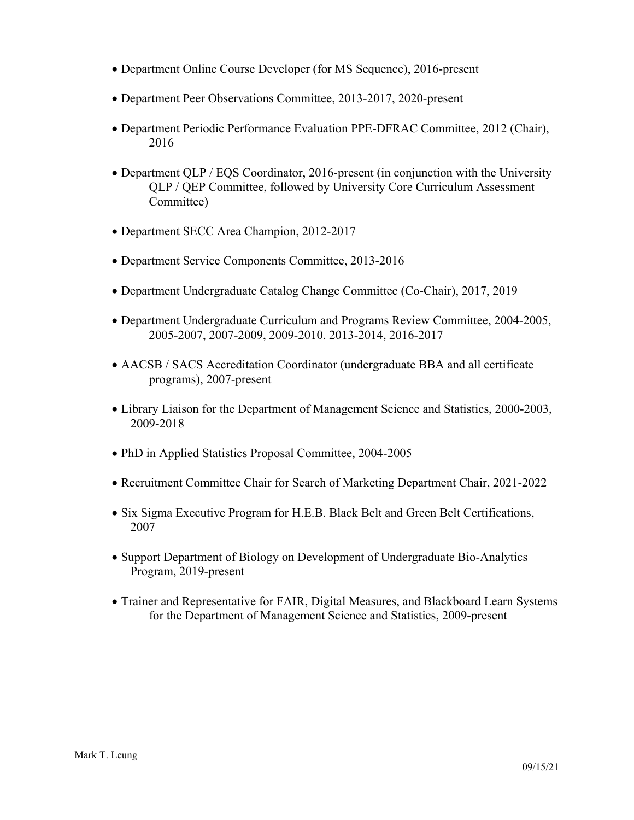- Department Online Course Developer (for MS Sequence), 2016-present
- Department Peer Observations Committee, 2013-2017, 2020-present
- Department Periodic Performance Evaluation PPE-DFRAC Committee, 2012 (Chair), 2016
- Department OLP / EOS Coordinator, 2016-present (in conjunction with the University QLP / QEP Committee, followed by University Core Curriculum Assessment Committee)
- Department SECC Area Champion, 2012-2017
- Department Service Components Committee, 2013-2016
- Department Undergraduate Catalog Change Committee (Co-Chair), 2017, 2019
- Department Undergraduate Curriculum and Programs Review Committee, 2004-2005, 2005-2007, 2007-2009, 2009-2010. 2013-2014, 2016-2017
- AACSB / SACS Accreditation Coordinator (undergraduate BBA and all certificate programs), 2007-present
- Library Liaison for the Department of Management Science and Statistics, 2000-2003, 2009-2018
- PhD in Applied Statistics Proposal Committee, 2004-2005
- Recruitment Committee Chair for Search of Marketing Department Chair, 2021-2022
- Six Sigma Executive Program for H.E.B. Black Belt and Green Belt Certifications, 2007
- Support Department of Biology on Development of Undergraduate Bio-Analytics Program, 2019-present
- Trainer and Representative for FAIR, Digital Measures, and Blackboard Learn Systems for the Department of Management Science and Statistics, 2009-present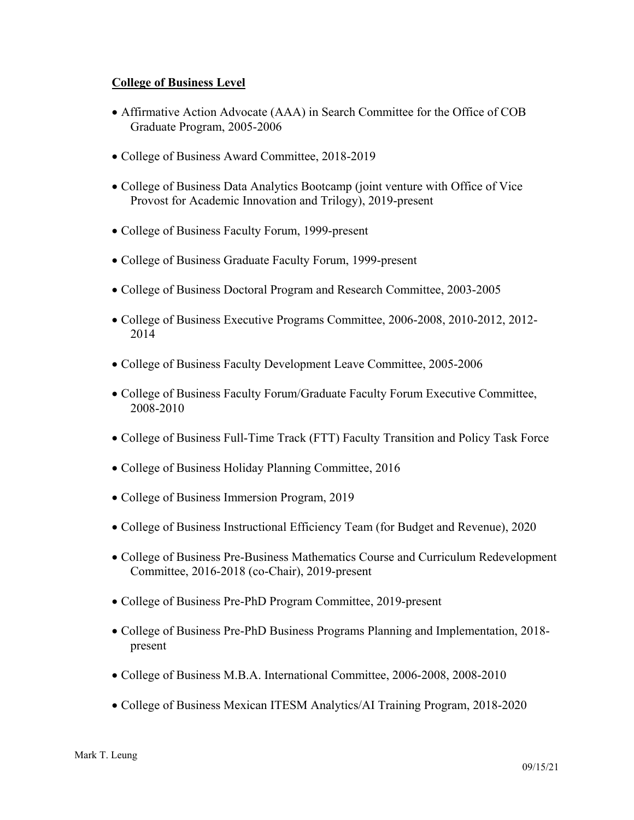#### **College of Business Level**

- Affirmative Action Advocate (AAA) in Search Committee for the Office of COB Graduate Program, 2005-2006
- College of Business Award Committee, 2018-2019
- College of Business Data Analytics Bootcamp (joint venture with Office of Vice Provost for Academic Innovation and Trilogy), 2019-present
- College of Business Faculty Forum, 1999-present
- College of Business Graduate Faculty Forum, 1999-present
- College of Business Doctoral Program and Research Committee, 2003-2005
- College of Business Executive Programs Committee, 2006-2008, 2010-2012, 2012- 2014
- College of Business Faculty Development Leave Committee, 2005-2006
- College of Business Faculty Forum/Graduate Faculty Forum Executive Committee, 2008-2010
- College of Business Full-Time Track (FTT) Faculty Transition and Policy Task Force
- College of Business Holiday Planning Committee, 2016
- College of Business Immersion Program, 2019
- College of Business Instructional Efficiency Team (for Budget and Revenue), 2020
- College of Business Pre-Business Mathematics Course and Curriculum Redevelopment Committee, 2016-2018 (co-Chair), 2019-present
- College of Business Pre-PhD Program Committee, 2019-present
- College of Business Pre-PhD Business Programs Planning and Implementation, 2018 present
- College of Business M.B.A. International Committee, 2006-2008, 2008-2010
- College of Business Mexican ITESM Analytics/AI Training Program, 2018-2020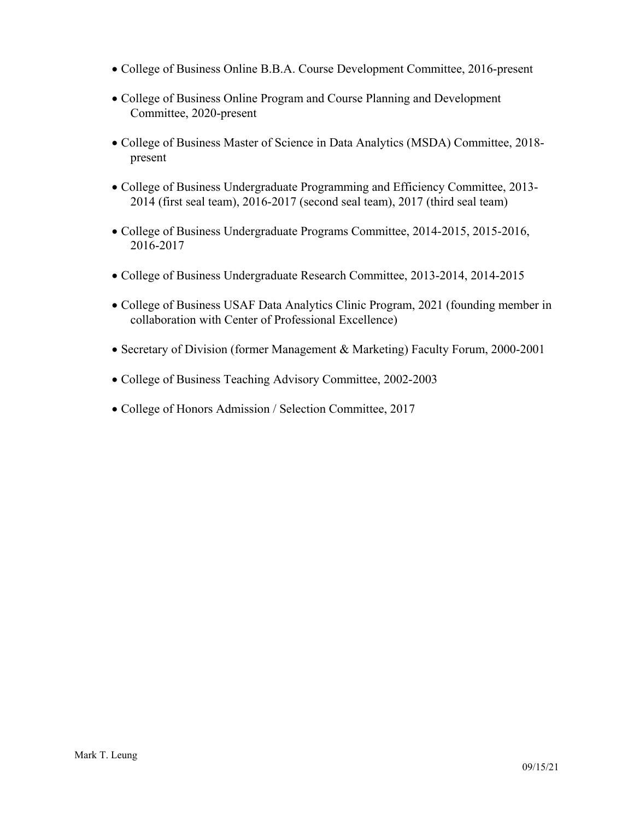- College of Business Online B.B.A. Course Development Committee, 2016-present
- College of Business Online Program and Course Planning and Development Committee, 2020-present
- College of Business Master of Science in Data Analytics (MSDA) Committee, 2018 present
- College of Business Undergraduate Programming and Efficiency Committee, 2013- 2014 (first seal team), 2016-2017 (second seal team), 2017 (third seal team)
- College of Business Undergraduate Programs Committee, 2014-2015, 2015-2016, 2016-2017
- College of Business Undergraduate Research Committee, 2013-2014, 2014-2015
- College of Business USAF Data Analytics Clinic Program, 2021 (founding member in collaboration with Center of Professional Excellence)
- Secretary of Division (former Management & Marketing) Faculty Forum, 2000-2001
- College of Business Teaching Advisory Committee, 2002-2003
- College of Honors Admission / Selection Committee, 2017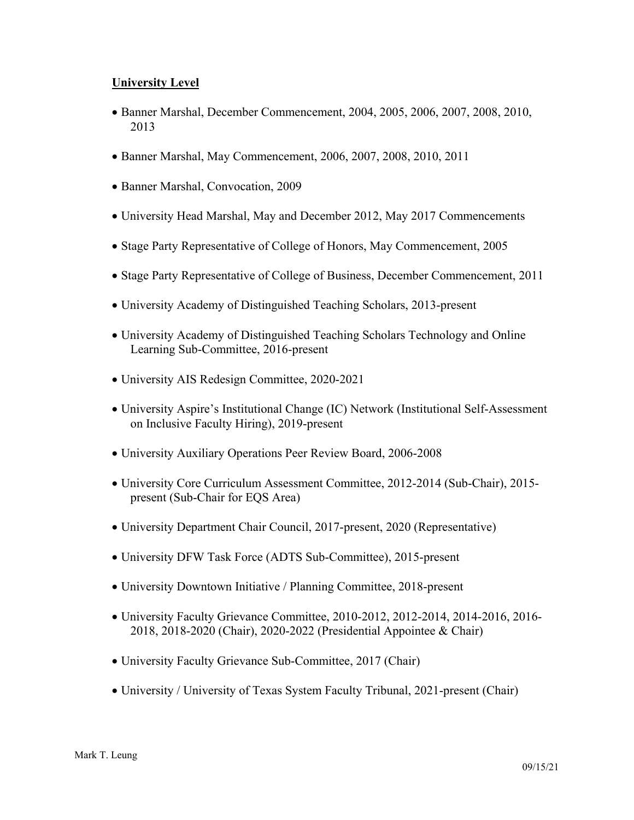## **University Level**

- Banner Marshal, December Commencement, 2004, 2005, 2006, 2007, 2008, 2010, 2013
- Banner Marshal, May Commencement, 2006, 2007, 2008, 2010, 2011
- Banner Marshal, Convocation, 2009
- University Head Marshal, May and December 2012, May 2017 Commencements
- Stage Party Representative of College of Honors, May Commencement, 2005
- Stage Party Representative of College of Business, December Commencement, 2011
- University Academy of Distinguished Teaching Scholars, 2013-present
- University Academy of Distinguished Teaching Scholars Technology and Online Learning Sub-Committee, 2016-present
- University AIS Redesign Committee, 2020-2021
- University Aspire's Institutional Change (IC) Network (Institutional Self-Assessment on Inclusive Faculty Hiring), 2019-present
- University Auxiliary Operations Peer Review Board, 2006-2008
- University Core Curriculum Assessment Committee, 2012-2014 (Sub-Chair), 2015 present (Sub-Chair for EQS Area)
- University Department Chair Council, 2017-present, 2020 (Representative)
- University DFW Task Force (ADTS Sub-Committee), 2015-present
- University Downtown Initiative / Planning Committee, 2018-present
- University Faculty Grievance Committee, 2010-2012, 2012-2014, 2014-2016, 2016- 2018, 2018-2020 (Chair), 2020-2022 (Presidential Appointee & Chair)
- University Faculty Grievance Sub-Committee, 2017 (Chair)
- University / University of Texas System Faculty Tribunal, 2021-present (Chair)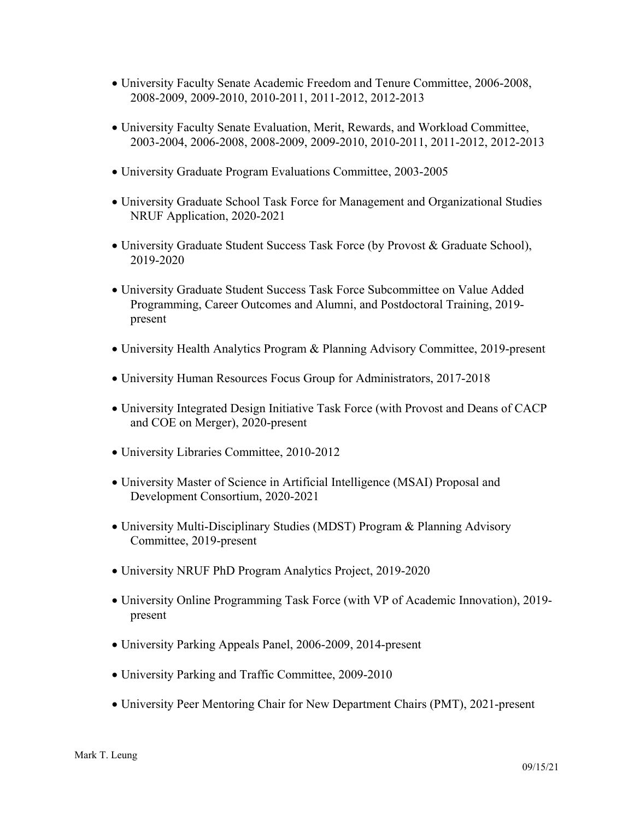- University Faculty Senate Academic Freedom and Tenure Committee, 2006-2008, 2008-2009, 2009-2010, 2010-2011, 2011-2012, 2012-2013
- University Faculty Senate Evaluation, Merit, Rewards, and Workload Committee, 2003-2004, 2006-2008, 2008-2009, 2009-2010, 2010-2011, 2011-2012, 2012-2013
- University Graduate Program Evaluations Committee, 2003-2005
- University Graduate School Task Force for Management and Organizational Studies NRUF Application, 2020-2021
- University Graduate Student Success Task Force (by Provost & Graduate School), 2019-2020
- University Graduate Student Success Task Force Subcommittee on Value Added Programming, Career Outcomes and Alumni, and Postdoctoral Training, 2019 present
- University Health Analytics Program & Planning Advisory Committee, 2019-present
- University Human Resources Focus Group for Administrators, 2017-2018
- University Integrated Design Initiative Task Force (with Provost and Deans of CACP and COE on Merger), 2020-present
- University Libraries Committee, 2010-2012
- University Master of Science in Artificial Intelligence (MSAI) Proposal and Development Consortium, 2020-2021
- University Multi-Disciplinary Studies (MDST) Program & Planning Advisory Committee, 2019-present
- University NRUF PhD Program Analytics Project, 2019-2020
- University Online Programming Task Force (with VP of Academic Innovation), 2019 present
- University Parking Appeals Panel, 2006-2009, 2014-present
- University Parking and Traffic Committee, 2009-2010
- University Peer Mentoring Chair for New Department Chairs (PMT), 2021-present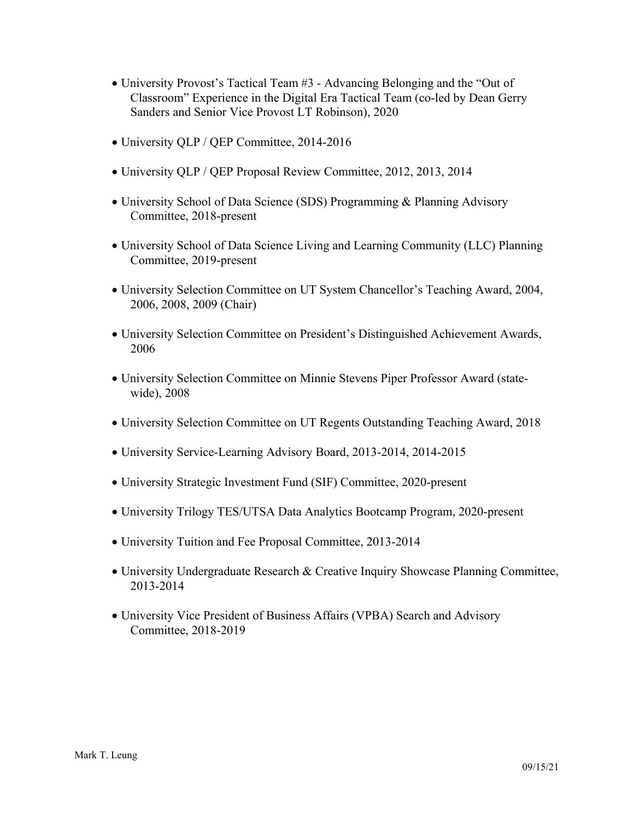- University Provost's Tactical Team #3 Advancing Belonging and the "Out of Classroom" Experience in the Digital Era Tactical Team (co-led by Dean Gerry Sanders and Senior Vice Provost LT Robinson), 2020
- University QLP / QEP Committee, 2014-2016
- University QLP / QEP Proposal Review Committee, 2012, 2013, 2014
- University School of Data Science (SDS) Programming & Planning Advisory Committee, 2018-present
- University School of Data Science Living and Learning Community (LLC) Planning Committee, 2019-present
- University Selection Committee on UT System Chancellor's Teaching Award, 2004, 2006, 2008, 2009 (Chair)
- University Selection Committee on President's Distinguished Achievement Awards, 2006
- University Selection Committee on Minnie Stevens Piper Professor Award (statewide), 2008
- University Selection Committee on UT Regents Outstanding Teaching Award, 2018
- University Service-Learning Advisory Board, 2013-2014, 2014-2015
- University Strategic Investment Fund (SIF) Committee, 2020-present
- University Trilogy TES/UTSA Data Analytics Bootcamp Program, 2020-present
- University Tuition and Fee Proposal Committee, 2013-2014
- University Undergraduate Research & Creative Inquiry Showcase Planning Committee, 2013-2014
- University Vice President of Business Affairs (VPBA) Search and Advisory Committee, 2018-2019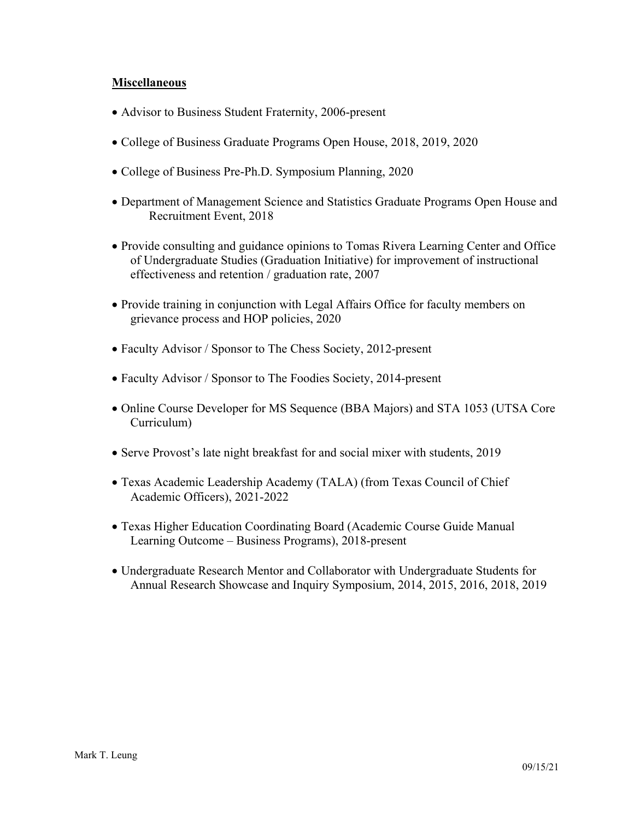## **Miscellaneous**

- Advisor to Business Student Fraternity, 2006-present
- College of Business Graduate Programs Open House, 2018, 2019, 2020
- College of Business Pre-Ph.D. Symposium Planning, 2020
- Department of Management Science and Statistics Graduate Programs Open House and Recruitment Event, 2018
- Provide consulting and guidance opinions to Tomas Rivera Learning Center and Office of Undergraduate Studies (Graduation Initiative) for improvement of instructional effectiveness and retention / graduation rate, 2007
- Provide training in conjunction with Legal Affairs Office for faculty members on grievance process and HOP policies, 2020
- Faculty Advisor / Sponsor to The Chess Society, 2012-present
- Faculty Advisor / Sponsor to The Foodies Society, 2014-present
- Online Course Developer for MS Sequence (BBA Majors) and STA 1053 (UTSA Core Curriculum)
- Serve Provost's late night breakfast for and social mixer with students, 2019
- Texas Academic Leadership Academy (TALA) (from Texas Council of Chief Academic Officers), 2021-2022
- Texas Higher Education Coordinating Board (Academic Course Guide Manual Learning Outcome – Business Programs), 2018-present
- Undergraduate Research Mentor and Collaborator with Undergraduate Students for Annual Research Showcase and Inquiry Symposium, 2014, 2015, 2016, 2018, 2019